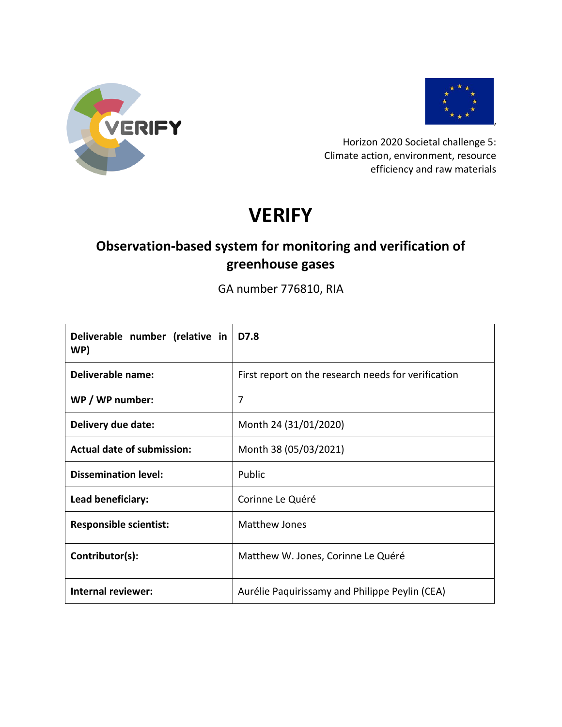



Horizon 2020 Societal challenge 5: Climate action, environment, resource efficiency and raw materials

# **VERIFY**

# **Observation-based system for monitoring and verification of greenhouse gases**

GA number 776810, RIA

| Deliverable number (relative in<br>WP) | D7.8                                                |
|----------------------------------------|-----------------------------------------------------|
| <b>Deliverable name:</b>               | First report on the research needs for verification |
| WP / WP number:                        | 7                                                   |
| Delivery due date:                     | Month 24 (31/01/2020)                               |
| <b>Actual date of submission:</b>      | Month 38 (05/03/2021)                               |
| <b>Dissemination level:</b>            | Public                                              |
| Lead beneficiary:                      | Corinne Le Quéré                                    |
| <b>Responsible scientist:</b>          | <b>Matthew Jones</b>                                |
| Contributor(s):                        | Matthew W. Jones, Corinne Le Quéré                  |
| <b>Internal reviewer:</b>              | Aurélie Paquirissamy and Philippe Peylin (CEA)      |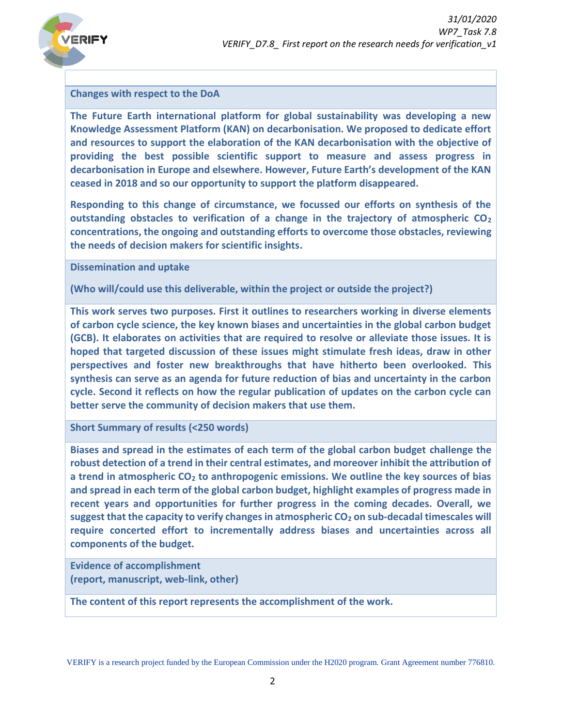

#### **Changes with respect to the DoA**

**The Future Earth international platform for global sustainability was developing a new Knowledge Assessment Platform (KAN) on decarbonisation. We proposed to dedicate effort and resources to support the elaboration of the KAN decarbonisation with the objective of providing the best possible scientific support to measure and assess progress in decarbonisation in Europe and elsewhere. However, Future Earth's development of the KAN ceased in 2018 and so our opportunity to support the platform disappeared.** 

**Responding to this change of circumstance, we focussed our efforts on synthesis of the outstanding obstacles to verification of a change in the trajectory of atmospheric CO<sup>2</sup> concentrations, the ongoing and outstanding efforts to overcome those obstacles, reviewing the needs of decision makers for scientific insights.**

**Dissemination and uptake**

**(Who will/could use this deliverable, within the project or outside the project?)**

**This work serves two purposes. First it outlines to researchers working in diverse elements of carbon cycle science, the key known biases and uncertainties in the global carbon budget (GCB). It elaborates on activities that are required to resolve or alleviate those issues. It is hoped that targeted discussion of these issues might stimulate fresh ideas, draw in other perspectives and foster new breakthroughs that have hitherto been overlooked. This synthesis can serve as an agenda for future reduction of bias and uncertainty in the carbon cycle. Second it reflects on how the regular publication of updates on the carbon cycle can better serve the community of decision makers that use them.** 

**Short Summary of results (<250 words)**

**Biases and spread in the estimates of each term of the global carbon budget challenge the robust detection of a trend in their central estimates, and moreover inhibit the attribution of a trend in atmospheric CO<sup>2</sup> to anthropogenic emissions. We outline the key sources of bias and spread in each term of the global carbon budget, highlight examples of progress made in recent years and opportunities for further progress in the coming decades. Overall, we suggest that the capacity to verify changes in atmospheric CO<sup>2</sup> on sub-decadal timescales will require concerted effort to incrementally address biases and uncertainties across all components of the budget.**

**Evidence of accomplishment (report, manuscript, web-link, other)**

**The content of this report represents the accomplishment of the work.**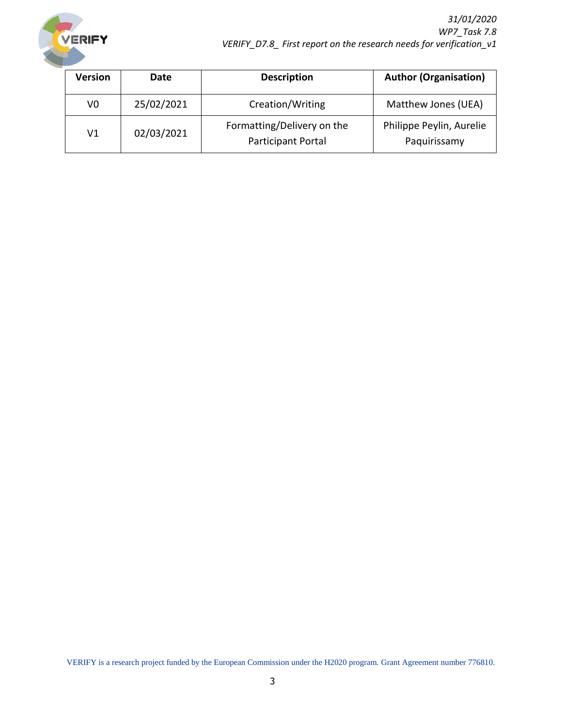

| <b>Version</b> | Date       | <b>Description</b>                                      | <b>Author (Organisation)</b>             |
|----------------|------------|---------------------------------------------------------|------------------------------------------|
| V0             | 25/02/2021 | Creation/Writing                                        | Matthew Jones (UEA)                      |
| V1             | 02/03/2021 | Formatting/Delivery on the<br><b>Participant Portal</b> | Philippe Peylin, Aurelie<br>Paquirissamy |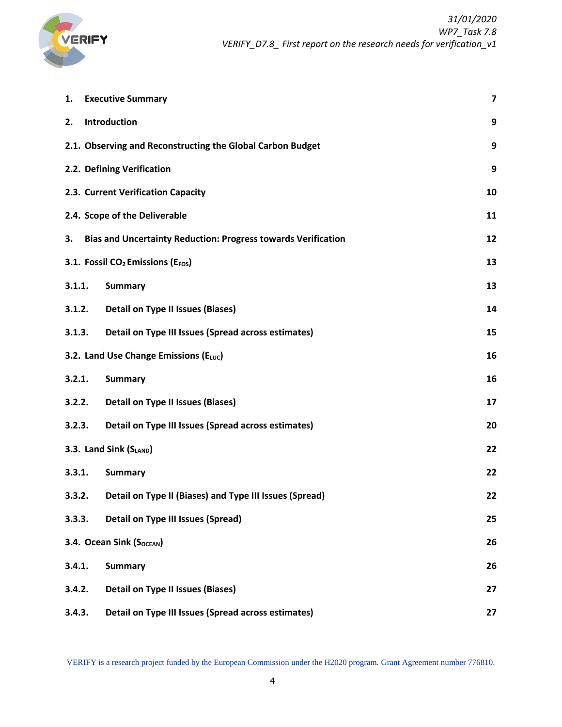

| 1.     | <b>Executive Summary</b>                                             | 7  |
|--------|----------------------------------------------------------------------|----|
| 2.     | Introduction                                                         | 9  |
|        | 2.1. Observing and Reconstructing the Global Carbon Budget           | 9  |
|        | 2.2. Defining Verification                                           | 9  |
|        | 2.3. Current Verification Capacity                                   | 10 |
|        | 2.4. Scope of the Deliverable                                        | 11 |
| 3.     | <b>Bias and Uncertainty Reduction: Progress towards Verification</b> | 12 |
|        | 3.1. Fossil CO <sub>2</sub> Emissions (E <sub>FOS</sub> )            | 13 |
| 3.1.1. | <b>Summary</b>                                                       | 13 |
| 3.1.2. | <b>Detail on Type II Issues (Biases)</b>                             | 14 |
| 3.1.3. | Detail on Type III Issues (Spread across estimates)                  | 15 |
|        | 3.2. Land Use Change Emissions (ELUC)                                | 16 |
| 3.2.1. | <b>Summary</b>                                                       | 16 |
| 3.2.2. | <b>Detail on Type II Issues (Biases)</b>                             | 17 |
| 3.2.3. | Detail on Type III Issues (Spread across estimates)                  | 20 |
|        | 3.3. Land Sink (SLAND)                                               | 22 |
| 3.3.1. | <b>Summary</b>                                                       | 22 |
| 3.3.2. | Detail on Type II (Biases) and Type III Issues (Spread)              | 22 |
| 3.3.3. | <b>Detail on Type III Issues (Spread)</b>                            | 25 |
|        | 3.4. Ocean Sink (S <sub>OCEAN</sub> )                                | 26 |
| 3.4.1. | <b>Summary</b>                                                       | 26 |
| 3.4.2. | <b>Detail on Type II Issues (Biases)</b>                             | 27 |
| 3.4.3. | Detail on Type III Issues (Spread across estimates)                  | 27 |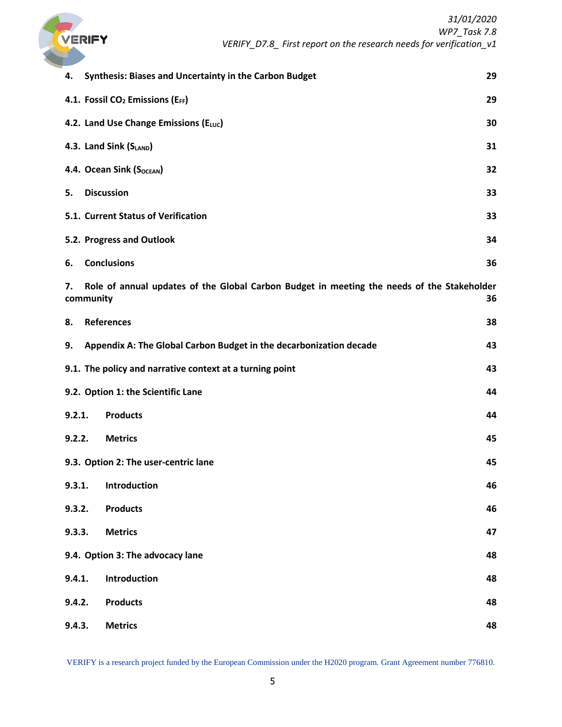

| 4.     | <b>Synthesis: Biases and Uncertainty in the Carbon Budget</b>                                           | 29 |
|--------|---------------------------------------------------------------------------------------------------------|----|
|        | 4.1. Fossil CO <sub>2</sub> Emissions (EFF)                                                             | 29 |
|        | 4.2. Land Use Change Emissions (ELUC)                                                                   | 30 |
|        | 4.3. Land Sink (SLAND)                                                                                  | 31 |
|        | 4.4. Ocean Sink (S <sub>OCEAN</sub> )                                                                   | 32 |
| 5.     | <b>Discussion</b>                                                                                       | 33 |
|        | 5.1. Current Status of Verification                                                                     | 33 |
|        | 5.2. Progress and Outlook                                                                               | 34 |
| 6.     | <b>Conclusions</b>                                                                                      | 36 |
| 7.     | Role of annual updates of the Global Carbon Budget in meeting the needs of the Stakeholder<br>community | 36 |
| 8.     | <b>References</b>                                                                                       | 38 |
| 9.     | Appendix A: The Global Carbon Budget in the decarbonization decade                                      | 43 |
|        | 9.1. The policy and narrative context at a turning point                                                | 43 |
|        | 9.2. Option 1: the Scientific Lane                                                                      | 44 |
| 9.2.1. | <b>Products</b>                                                                                         | 44 |
| 9.2.2. | <b>Metrics</b>                                                                                          | 45 |
|        | 9.3. Option 2: The user-centric lane                                                                    | 45 |
| 9.3.1. | Introduction                                                                                            | 46 |
| 9.3.2. | <b>Products</b>                                                                                         | 46 |
| 9.3.3. | <b>Metrics</b>                                                                                          | 47 |
|        | 9.4. Option 3: The advocacy lane                                                                        | 48 |
| 9.4.1. | Introduction                                                                                            | 48 |
| 9.4.2. | <b>Products</b>                                                                                         | 48 |
| 9.4.3. | <b>Metrics</b>                                                                                          | 48 |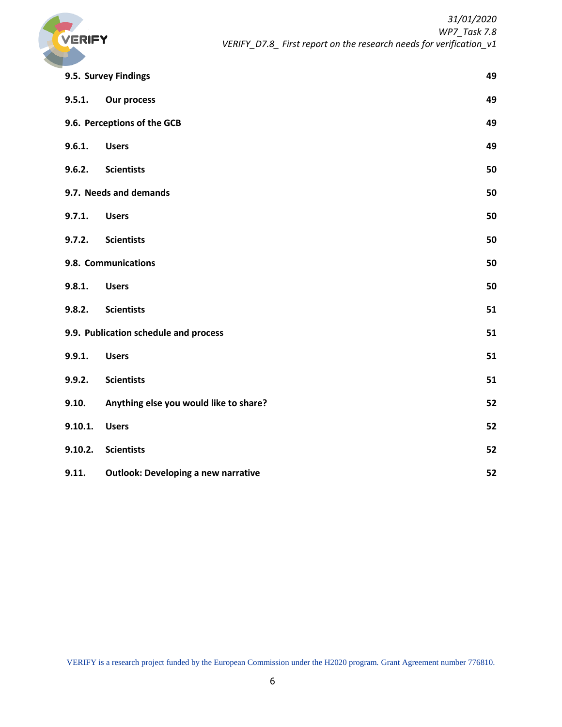

|                             | 9.5. Survey Findings                       |    |
|-----------------------------|--------------------------------------------|----|
| 9.5.1.                      | <b>Our process</b>                         | 49 |
| 9.6. Perceptions of the GCB |                                            | 49 |
| 9.6.1.                      | <b>Users</b>                               | 49 |
| 9.6.2.                      | <b>Scientists</b>                          | 50 |
|                             | 9.7. Needs and demands                     | 50 |
| 9.7.1.                      | <b>Users</b>                               | 50 |
| 9.7.2.                      | <b>Scientists</b>                          | 50 |
|                             | 9.8. Communications                        | 50 |
| 9.8.1.                      | <b>Users</b>                               | 50 |
| 9.8.2.                      | <b>Scientists</b>                          | 51 |
|                             | 9.9. Publication schedule and process      | 51 |
| 9.9.1.                      | <b>Users</b>                               | 51 |
| 9.9.2.                      | <b>Scientists</b>                          | 51 |
| 9.10.                       | Anything else you would like to share?     | 52 |
| 9.10.1.                     | <b>Users</b>                               | 52 |
| 9.10.2.                     | <b>Scientists</b>                          | 52 |
| 9.11.                       | <b>Outlook: Developing a new narrative</b> | 52 |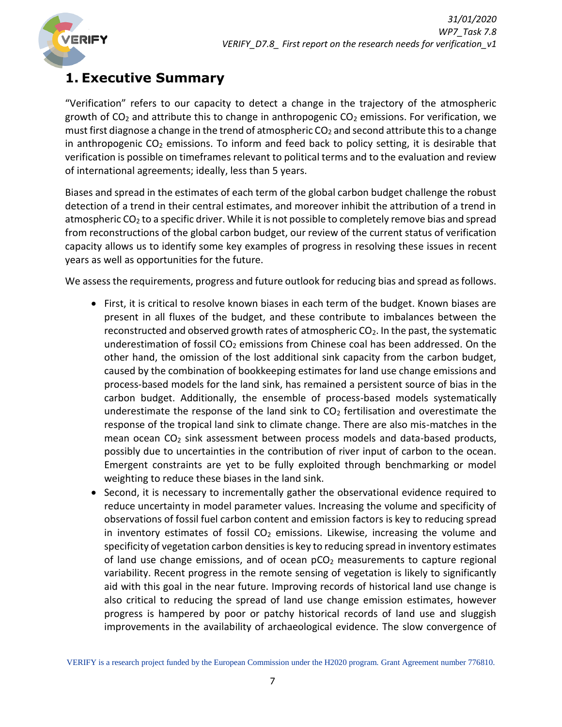

# <span id="page-6-0"></span>**1. Executive Summary**

"Verification" refers to our capacity to detect a change in the trajectory of the atmospheric growth of  $CO<sub>2</sub>$  and attribute this to change in anthropogenic  $CO<sub>2</sub>$  emissions. For verification, we must first diagnose a change in the trend of atmospheric  $CO<sub>2</sub>$  and second attribute this to a change in anthropogenic  $CO<sub>2</sub>$  emissions. To inform and feed back to policy setting, it is desirable that verification is possible on timeframes relevant to political terms and to the evaluation and review of international agreements; ideally, less than 5 years.

Biases and spread in the estimates of each term of the global carbon budget challenge the robust detection of a trend in their central estimates, and moreover inhibit the attribution of a trend in atmospheric  $CO<sub>2</sub>$  to a specific driver. While it is not possible to completely remove bias and spread from reconstructions of the global carbon budget, our review of the current status of verification capacity allows us to identify some key examples of progress in resolving these issues in recent years as well as opportunities for the future.

We assess the requirements, progress and future outlook for reducing bias and spread as follows.

- First, it is critical to resolve known biases in each term of the budget. Known biases are present in all fluxes of the budget, and these contribute to imbalances between the reconstructed and observed growth rates of atmospheric  $CO<sub>2</sub>$ . In the past, the systematic underestimation of fossil  $CO<sub>2</sub>$  emissions from Chinese coal has been addressed. On the other hand, the omission of the lost additional sink capacity from the carbon budget, caused by the combination of bookkeeping estimates for land use change emissions and process-based models for the land sink, has remained a persistent source of bias in the carbon budget. Additionally, the ensemble of process-based models systematically underestimate the response of the land sink to  $CO<sub>2</sub>$  fertilisation and overestimate the response of the tropical land sink to climate change. There are also mis-matches in the mean ocean  $CO<sub>2</sub>$  sink assessment between process models and data-based products, possibly due to uncertainties in the contribution of river input of carbon to the ocean. Emergent constraints are yet to be fully exploited through benchmarking or model weighting to reduce these biases in the land sink.
- Second, it is necessary to incrementally gather the observational evidence required to reduce uncertainty in model parameter values. Increasing the volume and specificity of observations of fossil fuel carbon content and emission factors is key to reducing spread in inventory estimates of fossil  $CO<sub>2</sub>$  emissions. Likewise, increasing the volume and specificity of vegetation carbon densities is key to reducing spread in inventory estimates of land use change emissions, and of ocean  $pCO<sub>2</sub>$  measurements to capture regional variability. Recent progress in the remote sensing of vegetation is likely to significantly aid with this goal in the near future. Improving records of historical land use change is also critical to reducing the spread of land use change emission estimates, however progress is hampered by poor or patchy historical records of land use and sluggish improvements in the availability of archaeological evidence. The slow convergence of

VERIFY is a research project funded by the European Commission under the H2020 program. Grant Agreement number 776810.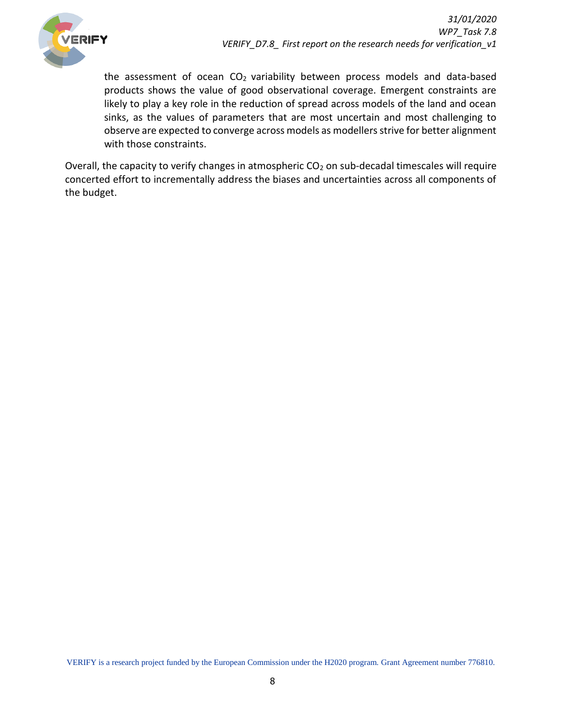

the assessment of ocean  $CO<sub>2</sub>$  variability between process models and data-based products shows the value of good observational coverage. Emergent constraints are likely to play a key role in the reduction of spread across models of the land and ocean sinks, as the values of parameters that are most uncertain and most challenging to observe are expected to converge across models as modellers strive for better alignment with those constraints.

Overall, the capacity to verify changes in atmospheric  $CO<sub>2</sub>$  on sub-decadal timescales will require concerted effort to incrementally address the biases and uncertainties across all components of the budget.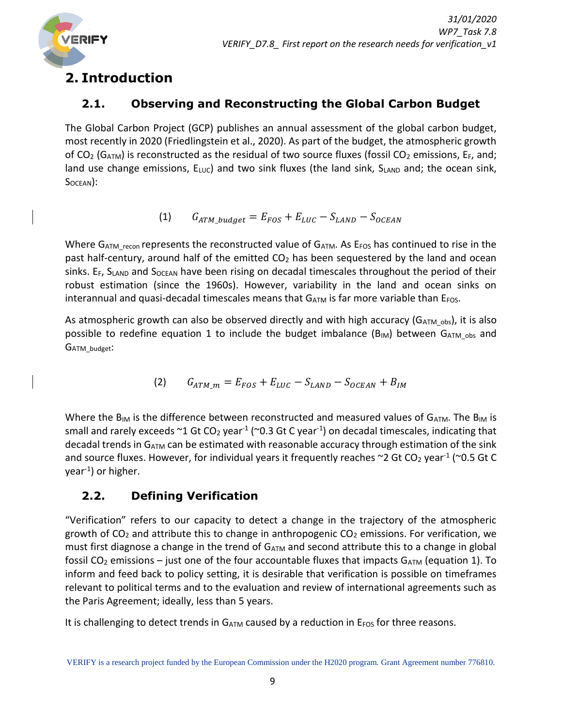

# <span id="page-8-0"></span>**2. Introduction**

# <span id="page-8-1"></span>**2.1. Observing and Reconstructing the Global Carbon Budget**

The Global Carbon Project (GCP) publishes an annual assessment of the global carbon budget, most recently in 2020 (Friedlingstein et al., 2020). As part of the budget, the atmospheric growth of CO<sub>2</sub> (G<sub>ATM</sub>) is reconstructed as the residual of two source fluxes (fossil CO<sub>2</sub> emissions, E<sub>F</sub>, and; land use change emissions,  $E_{LUC}$ ) and two sink fluxes (the land sink,  $S_{LAND}$  and; the ocean sink, S<sub>OCEAN</sub>):

$$
(1) \qquad G_{ATM\_budget} = E_{FOS} + E_{LUC} - S_{LAND} - S_{OCEAN}
$$

Where  $G_{ATM\_recon}$  represents the reconstructed value of  $G_{ATM}$ . As  $E_{FOS}$  has continued to rise in the past half-century, around half of the emitted  $CO<sub>2</sub>$  has been sequestered by the land and ocean sinks. E<sub>F</sub>, SLAND and S<sub>OCEAN</sub> have been rising on decadal timescales throughout the period of their robust estimation (since the 1960s). However, variability in the land and ocean sinks on interannual and quasi-decadal timescales means that  $G_{ATM}$  is far more variable than  $E_{FOS}$ .

As atmospheric growth can also be observed directly and with high accuracy ( $G_{ATM}$ <sub>obs</sub>), it is also possible to redefine equation 1 to include the budget imbalance  $(B_{IM})$  between  $G_{ATM \, obs}$  and GATM\_budget:

(2) 
$$
G_{ATM\_m} = E_{FOS} + E_{LUC} - S_{LAND} - S_{OCEAN} + B_{IM}
$$

Where the B<sub>IM</sub> is the difference between reconstructed and measured values of GATM. The BIM is small and rarely exceeds  $\sim$ 1 Gt CO<sub>2</sub> year<sup>-1</sup> ( $\sim$ 0.3 Gt C year<sup>-1</sup>) on decadal timescales, indicating that decadal trends in  $G_{ATM}$  can be estimated with reasonable accuracy through estimation of the sink and source fluxes. However, for individual years it frequently reaches  $\sim$ 2 Gt CO<sub>2</sub> year<sup>-1</sup> ( $\sim$ 0.5 Gt C year-1 ) or higher.

# <span id="page-8-2"></span>**2.2. Defining Verification**

"Verification" refers to our capacity to detect a change in the trajectory of the atmospheric growth of  $CO<sub>2</sub>$  and attribute this to change in anthropogenic  $CO<sub>2</sub>$  emissions. For verification, we must first diagnose a change in the trend of  $G_{ATM}$  and second attribute this to a change in global fossil CO<sub>2</sub> emissions – just one of the four accountable fluxes that impacts  $G_{ATM}$  (equation 1). To inform and feed back to policy setting, it is desirable that verification is possible on timeframes relevant to political terms and to the evaluation and review of international agreements such as the Paris Agreement; ideally, less than 5 years.

It is challenging to detect trends in  $G_{ATM}$  caused by a reduction in  $E_{FOS}$  for three reasons.

VERIFY is a research project funded by the European Commission under the H2020 program. Grant Agreement number 776810.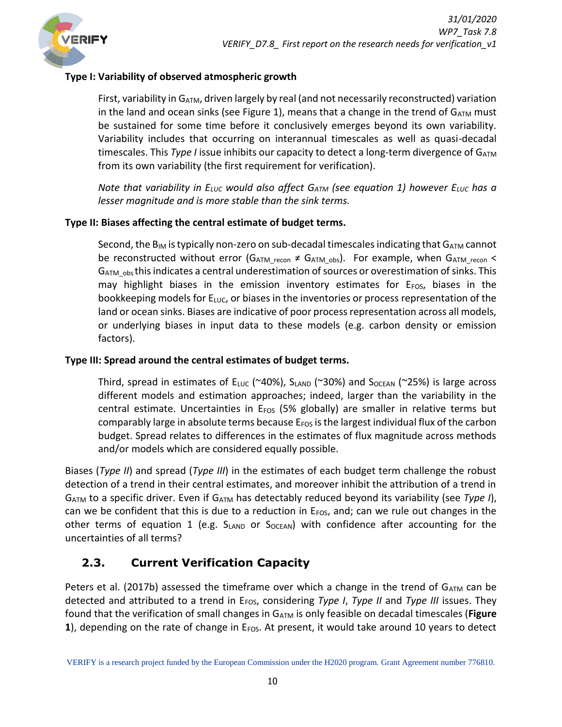### **Type I: Variability of observed atmospheric growth**

First, variability in  $G_{ATM}$ , driven largely by real (and not necessarily reconstructed) variation in the land and ocean sinks (see Figure 1), means that a change in the trend of  $G_{ATM}$  must be sustained for some time before it conclusively emerges beyond its own variability. Variability includes that occurring on interannual timescales as well as quasi-decadal timescales. This *Type I* issue inhibits our capacity to detect a long-term divergence of G<sub>ATM</sub> from its own variability (the first requirement for verification).

*Note that variability in ELUC would also affect GATM (see equation 1) however ELUC has a lesser magnitude and is more stable than the sink terms.*

### **Type II: Biases affecting the central estimate of budget terms.**

Second, the  $B_{IM}$  is typically non-zero on sub-decadal timescales indicating that  $G_{ATM}$  cannot be reconstructed without error (G<sub>ATM recon</sub>  $\neq$  G<sub>ATM obs</sub>). For example, when G<sub>ATM recon</sub>  $\lt$ G<sub>ATM</sub> <sub>obs</sub> this indicates a central underestimation of sources or overestimation of sinks. This may highlight biases in the emission inventory estimates for  $E_{FOS}$ , biases in the bookkeeping models for  $E_{\text{LUC}}$ , or biases in the inventories or process representation of the land or ocean sinks. Biases are indicative of poor process representation across all models, or underlying biases in input data to these models (e.g. carbon density or emission factors).

#### **Type III: Spread around the central estimates of budget terms.**

Third, spread in estimates of  $E_{LUC}$  (~40%), SLAND (~30%) and SOCEAN (~25%) is large across different models and estimation approaches; indeed, larger than the variability in the central estimate. Uncertainties in  $E_{FOS}$  (5% globally) are smaller in relative terms but comparably large in absolute terms because  $E_{FOS}$  is the largest individual flux of the carbon budget. Spread relates to differences in the estimates of flux magnitude across methods and/or models which are considered equally possible.

Biases (*Type II*) and spread (*Type III*) in the estimates of each budget term challenge the robust detection of a trend in their central estimates, and moreover inhibit the attribution of a trend in G<sub>ATM</sub> to a specific driver. Even if G<sub>ATM</sub> has detectably reduced beyond its variability (see *Type I*), can we be confident that this is due to a reduction in  $E_{FOS}$ , and; can we rule out changes in the other terms of equation 1 (e.g.  $S_{LAND}$  or  $S_{OCEAN}$ ) with confidence after accounting for the uncertainties of all terms?

# <span id="page-9-0"></span>**2.3. Current Verification Capacity**

Peters et al. (2017b) assessed the timeframe over which a change in the trend of  $G_{ATM}$  can be detected and attributed to a trend in E<sub>FOS</sub>, considering *Type I*, *Type II* and *Type III* issues. They found that the verification of small changes in GATM is only feasible on decadal timescales (**Figure 1**), depending on the rate of change in E<sub>FOS</sub>. At present, it would take around 10 years to detect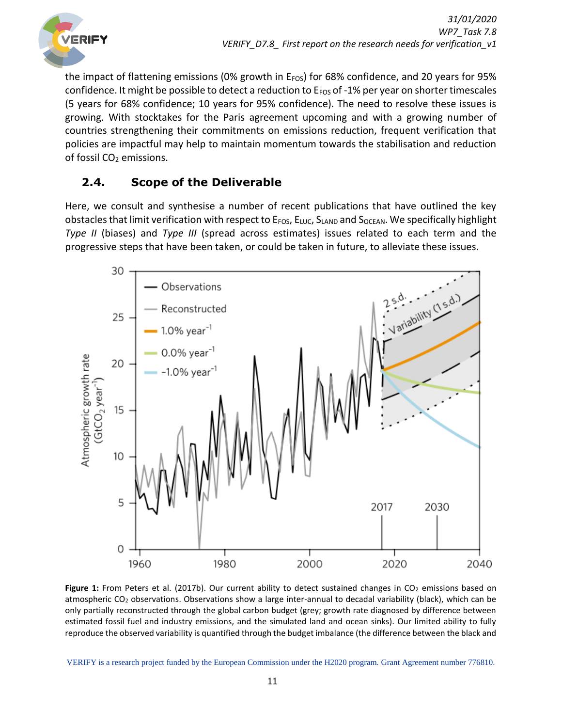

the impact of flattening emissions (0% growth in  $E_{FOS}$ ) for 68% confidence, and 20 years for 95% confidence. It might be possible to detect a reduction to E<sub>FOS</sub> of -1% per year on shorter timescales (5 years for 68% confidence; 10 years for 95% confidence). The need to resolve these issues is growing. With stocktakes for the Paris agreement upcoming and with a growing number of countries strengthening their commitments on emissions reduction, frequent verification that policies are impactful may help to maintain momentum towards the stabilisation and reduction of fossil CO<sub>2</sub> emissions.

# <span id="page-10-0"></span>**2.4. Scope of the Deliverable**

Here, we consult and synthesise a number of recent publications that have outlined the key obstacles that limit verification with respect to  $E_{FOS}$ ,  $E_{LUC}$ ,  $S_{LAND}$  and  $S_{OCEAN}$ . We specifically highlight *Type II* (biases) and *Type III* (spread across estimates) issues related to each term and the progressive steps that have been taken, or could be taken in future, to alleviate these issues.



Figure 1: From Peters et al. (2017b). Our current ability to detect sustained changes in CO<sub>2</sub> emissions based on atmospheric CO<sub>2</sub> observations. Observations show a large inter-annual to decadal variability (black), which can be only partially reconstructed through the global carbon budget (grey; growth rate diagnosed by difference between estimated fossil fuel and industry emissions, and the simulated land and ocean sinks). Our limited ability to fully reproduce the observed variability is quantified through the budget imbalance (the difference between the black and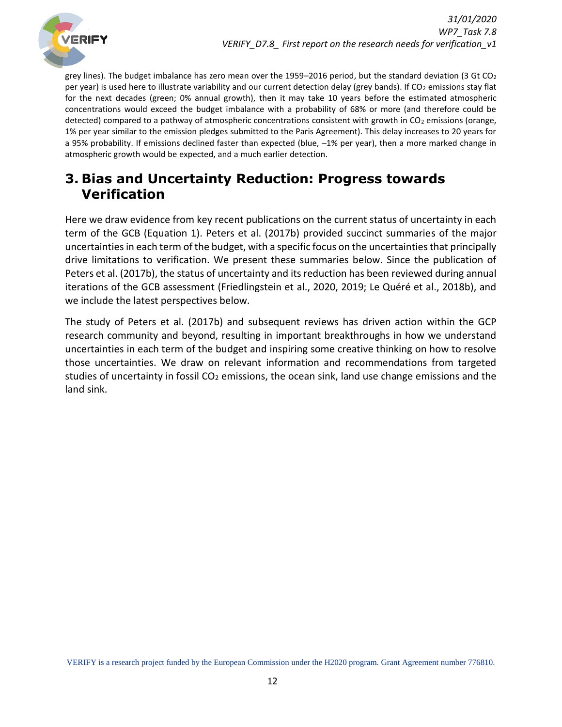

grey lines). The budget imbalance has zero mean over the 1959–2016 period, but the standard deviation (3 Gt CO<sub>2</sub> per year) is used here to illustrate variability and our current detection delay (grey bands). If CO<sub>2</sub> emissions stay flat for the next decades (green; 0% annual growth), then it may take 10 years before the estimated atmospheric concentrations would exceed the budget imbalance with a probability of 68% or more (and therefore could be detected) compared to a pathway of atmospheric concentrations consistent with growth in CO<sub>2</sub> emissions (orange, 1% per year similar to the emission pledges submitted to the Paris Agreement). This delay increases to 20 years for a 95% probability. If emissions declined faster than expected (blue, –1% per year), then a more marked change in atmospheric growth would be expected, and a much earlier detection.

# <span id="page-11-0"></span>**3. Bias and Uncertainty Reduction: Progress towards Verification**

Here we draw evidence from key recent publications on the current status of uncertainty in each term of the GCB (Equation 1). Peters et al. (2017b) provided succinct summaries of the major uncertainties in each term of the budget, with a specific focus on the uncertainties that principally drive limitations to verification. We present these summaries below. Since the publication of Peters et al. (2017b), the status of uncertainty and its reduction has been reviewed during annual iterations of the GCB assessment (Friedlingstein et al., 2020, 2019; Le Quéré et al., 2018b), and we include the latest perspectives below.

The study of Peters et al. (2017b) and subsequent reviews has driven action within the GCP research community and beyond, resulting in important breakthroughs in how we understand uncertainties in each term of the budget and inspiring some creative thinking on how to resolve those uncertainties. We draw on relevant information and recommendations from targeted studies of uncertainty in fossil  $CO<sub>2</sub>$  emissions, the ocean sink, land use change emissions and the land sink.

VERIFY is a research project funded by the European Commission under the H2020 program. Grant Agreement number 776810.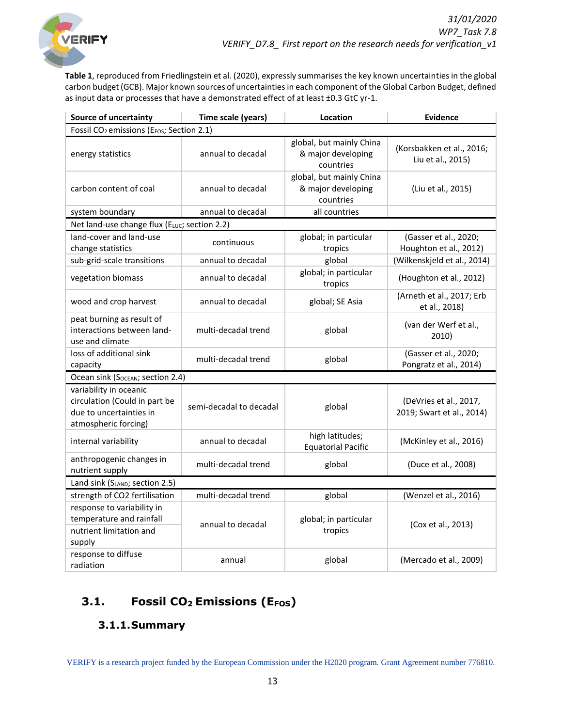

**Table 1**, reproduced from Friedlingstein et al. (2020), expressly summarises the key known uncertainties in the global carbon budget (GCB). Major known sources of uncertainties in each component of the Global Carbon Budget, defined as input data or processes that have a demonstrated effect of at least ±0.3 GtC yr-1.

| Source of uncertainty                                                                                      | Time scale (years)      | Location                                                    | <b>Evidence</b>                                     |
|------------------------------------------------------------------------------------------------------------|-------------------------|-------------------------------------------------------------|-----------------------------------------------------|
| Fossil CO <sub>2</sub> emissions (E <sub>FOS</sub> ; Section 2.1)                                          |                         |                                                             |                                                     |
| energy statistics                                                                                          | annual to decadal       | global, but mainly China<br>& major developing<br>countries | (Korsbakken et al., 2016;<br>Liu et al., 2015)      |
| carbon content of coal                                                                                     | annual to decadal       | global, but mainly China<br>& major developing<br>countries | (Liu et al., 2015)                                  |
| system boundary                                                                                            | annual to decadal       | all countries                                               |                                                     |
| Net land-use change flux (ELUC; section 2.2)                                                               |                         |                                                             |                                                     |
| land-cover and land-use<br>change statistics                                                               | continuous              | global; in particular<br>tropics                            | (Gasser et al., 2020;<br>Houghton et al., 2012)     |
| sub-grid-scale transitions                                                                                 | annual to decadal       | global                                                      | (Wilkenskjeld et al., 2014)                         |
| vegetation biomass                                                                                         | annual to decadal       | global; in particular<br>tropics                            | (Houghton et al., 2012)                             |
| wood and crop harvest                                                                                      | annual to decadal       | global; SE Asia                                             | (Arneth et al., 2017; Erb<br>et al., 2018)          |
| peat burning as result of<br>interactions between land-<br>use and climate                                 | multi-decadal trend     | global                                                      | (van der Werf et al.,<br>2010)                      |
| loss of additional sink<br>capacity                                                                        | multi-decadal trend     | global                                                      | (Gasser et al., 2020;<br>Pongratz et al., 2014)     |
| Ocean sink (Socean; section 2.4)                                                                           |                         |                                                             |                                                     |
| variability in oceanic<br>circulation (Could in part be<br>due to uncertainties in<br>atmospheric forcing) | semi-decadal to decadal | global                                                      | (DeVries et al., 2017,<br>2019; Swart et al., 2014) |
| internal variability                                                                                       | annual to decadal       | high latitudes;<br><b>Equatorial Pacific</b>                | (McKinley et al., 2016)                             |
| anthropogenic changes in<br>nutrient supply                                                                | multi-decadal trend     | global                                                      | (Duce et al., 2008)                                 |
| Land sink (SLAND; section 2.5)                                                                             |                         |                                                             |                                                     |
| strength of CO2 fertilisation                                                                              | multi-decadal trend     | global                                                      | (Wenzel et al., 2016)                               |
| response to variability in<br>temperature and rainfall<br>nutrient limitation and<br>supply                | annual to decadal       | global; in particular<br>tropics                            | (Cox et al., 2013)                                  |
| response to diffuse<br>radiation                                                                           | annual                  | global                                                      | (Mercado et al., 2009)                              |

# <span id="page-12-1"></span><span id="page-12-0"></span>**3.1. Fossil CO2 Emissions (EFOS)**

# **3.1.1.Summary**

VERIFY is a research project funded by the European Commission under the H2020 program. Grant Agreement number 776810.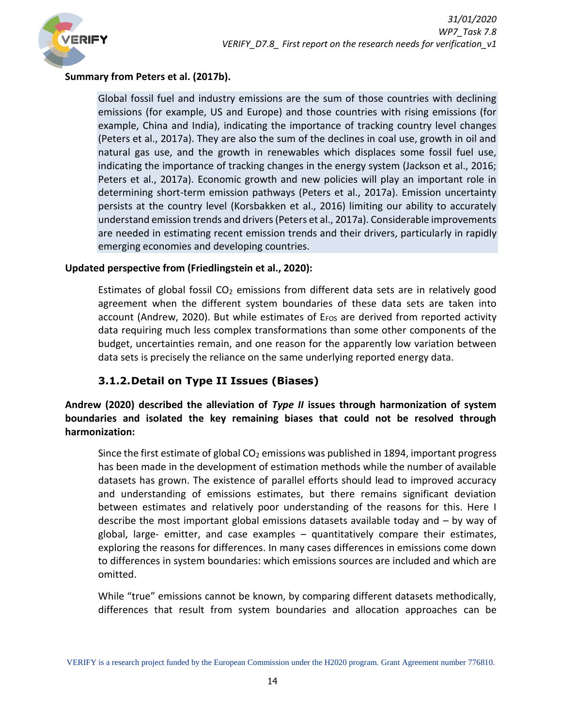

#### **Summary from Peters et al. (2017b).**

Global fossil fuel and industry emissions are the sum of those countries with declining emissions (for example, US and Europe) and those countries with rising emissions (for example, China and India), indicating the importance of tracking country level changes (Peters et al., 2017a). They are also the sum of the declines in coal use, growth in oil and natural gas use, and the growth in renewables which displaces some fossil fuel use, indicating the importance of tracking changes in the energy system (Jackson et al., 2016; Peters et al., 2017a). Economic growth and new policies will play an important role in determining short-term emission pathways (Peters et al., 2017a). Emission uncertainty persists at the country level (Korsbakken et al., 2016) limiting our ability to accurately understand emission trends and drivers (Peters et al., 2017a). Considerable improvements are needed in estimating recent emission trends and their drivers, particularly in rapidly emerging economies and developing countries.

#### **Updated perspective from (Friedlingstein et al., 2020):**

Estimates of global fossil  $CO<sub>2</sub>$  emissions from different data sets are in relatively good agreement when the different system boundaries of these data sets are taken into account (Andrew, 2020). But while estimates of  $E_{FOS}$  are derived from reported activity data requiring much less complex transformations than some other components of the budget, uncertainties remain, and one reason for the apparently low variation between data sets is precisely the reliance on the same underlying reported energy data.

# **3.1.2.Detail on Type II Issues (Biases)**

<span id="page-13-0"></span>**Andrew (2020) described the alleviation of** *Type II* **issues through harmonization of system boundaries and isolated the key remaining biases that could not be resolved through harmonization:**

Since the first estimate of global CO<sub>2</sub> emissions was published in 1894, important progress has been made in the development of estimation methods while the number of available datasets has grown. The existence of parallel efforts should lead to improved accuracy and understanding of emissions estimates, but there remains significant deviation between estimates and relatively poor understanding of the reasons for this. Here I describe the most important global emissions datasets available today and – by way of global, large- emitter, and case examples – quantitatively compare their estimates, exploring the reasons for differences. In many cases differences in emissions come down to differences in system boundaries: which emissions sources are included and which are omitted.

While "true" emissions cannot be known, by comparing different datasets methodically, differences that result from system boundaries and allocation approaches can be

VERIFY is a research project funded by the European Commission under the H2020 program. Grant Agreement number 776810.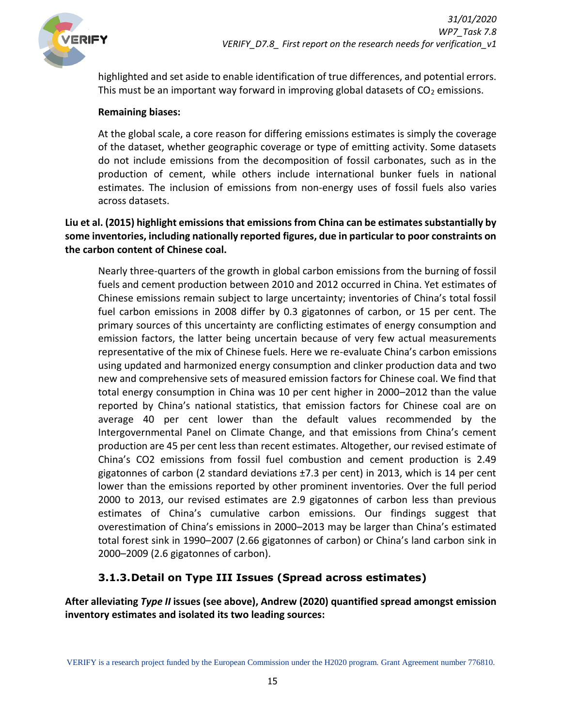

highlighted and set aside to enable identification of true differences, and potential errors. This must be an important way forward in improving global datasets of  $CO<sub>2</sub>$  emissions.

#### **Remaining biases:**

At the global scale, a core reason for differing emissions estimates is simply the coverage of the dataset, whether geographic coverage or type of emitting activity. Some datasets do not include emissions from the decomposition of fossil carbonates, such as in the production of cement, while others include international bunker fuels in national estimates. The inclusion of emissions from non-energy uses of fossil fuels also varies across datasets.

#### **Liu et al. (2015) highlight emissions that emissions from China can be estimates substantially by some inventories, including nationally reported figures, due in particular to poor constraints on the carbon content of Chinese coal.**

Nearly three-quarters of the growth in global carbon emissions from the burning of fossil fuels and cement production between 2010 and 2012 occurred in China. Yet estimates of Chinese emissions remain subject to large uncertainty; inventories of China's total fossil fuel carbon emissions in 2008 differ by 0.3 gigatonnes of carbon, or 15 per cent. The primary sources of this uncertainty are conflicting estimates of energy consumption and emission factors, the latter being uncertain because of very few actual measurements representative of the mix of Chinese fuels. Here we re-evaluate China's carbon emissions using updated and harmonized energy consumption and clinker production data and two new and comprehensive sets of measured emission factors for Chinese coal. We find that total energy consumption in China was 10 per cent higher in 2000–2012 than the value reported by China's national statistics, that emission factors for Chinese coal are on average 40 per cent lower than the default values recommended by the Intergovernmental Panel on Climate Change, and that emissions from China's cement production are 45 per cent less than recent estimates. Altogether, our revised estimate of China's CO2 emissions from fossil fuel combustion and cement production is 2.49 gigatonnes of carbon (2 standard deviations ±7.3 per cent) in 2013, which is 14 per cent lower than the emissions reported by other prominent inventories. Over the full period 2000 to 2013, our revised estimates are 2.9 gigatonnes of carbon less than previous estimates of China's cumulative carbon emissions. Our findings suggest that overestimation of China's emissions in 2000–2013 may be larger than China's estimated total forest sink in 1990–2007 (2.66 gigatonnes of carbon) or China's land carbon sink in 2000–2009 (2.6 gigatonnes of carbon).

### **3.1.3.Detail on Type III Issues (Spread across estimates)**

<span id="page-14-0"></span>**After alleviating** *Type II* **issues (see above), Andrew (2020) quantified spread amongst emission inventory estimates and isolated its two leading sources:**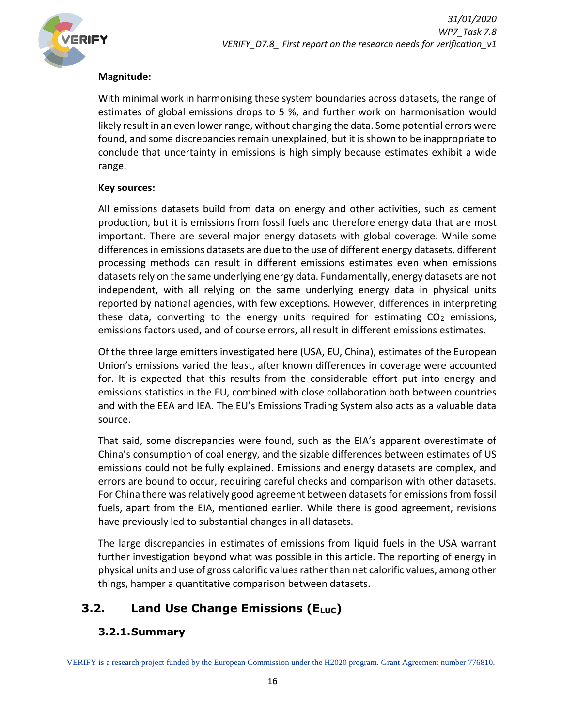

#### **Magnitude:**

With minimal work in harmonising these system boundaries across datasets, the range of estimates of global emissions drops to 5 %, and further work on harmonisation would likely result in an even lower range, without changing the data. Some potential errors were found, and some discrepancies remain unexplained, but it is shown to be inappropriate to conclude that uncertainty in emissions is high simply because estimates exhibit a wide range.

#### **Key sources:**

All emissions datasets build from data on energy and other activities, such as cement production, but it is emissions from fossil fuels and therefore energy data that are most important. There are several major energy datasets with global coverage. While some differences in emissions datasets are due to the use of different energy datasets, different processing methods can result in different emissions estimates even when emissions datasets rely on the same underlying energy data. Fundamentally, energy datasets are not independent, with all relying on the same underlying energy data in physical units reported by national agencies, with few exceptions. However, differences in interpreting these data, converting to the energy units required for estimating  $CO<sub>2</sub>$  emissions, emissions factors used, and of course errors, all result in different emissions estimates.

Of the three large emitters investigated here (USA, EU, China), estimates of the European Union's emissions varied the least, after known differences in coverage were accounted for. It is expected that this results from the considerable effort put into energy and emissions statistics in the EU, combined with close collaboration both between countries and with the EEA and IEA. The EU's Emissions Trading System also acts as a valuable data source.

That said, some discrepancies were found, such as the EIA's apparent overestimate of China's consumption of coal energy, and the sizable differences between estimates of US emissions could not be fully explained. Emissions and energy datasets are complex, and errors are bound to occur, requiring careful checks and comparison with other datasets. For China there was relatively good agreement between datasets for emissions from fossil fuels, apart from the EIA, mentioned earlier. While there is good agreement, revisions have previously led to substantial changes in all datasets.

The large discrepancies in estimates of emissions from liquid fuels in the USA warrant further investigation beyond what was possible in this article. The reporting of energy in physical units and use of gross calorific values rather than net calorific values, among other things, hamper a quantitative comparison between datasets.

# <span id="page-15-1"></span><span id="page-15-0"></span>**3.2. Land Use Change Emissions (E**<sub>LUC</sub>)

### **3.2.1.Summary**

VERIFY is a research project funded by the European Commission under the H2020 program. Grant Agreement number 776810.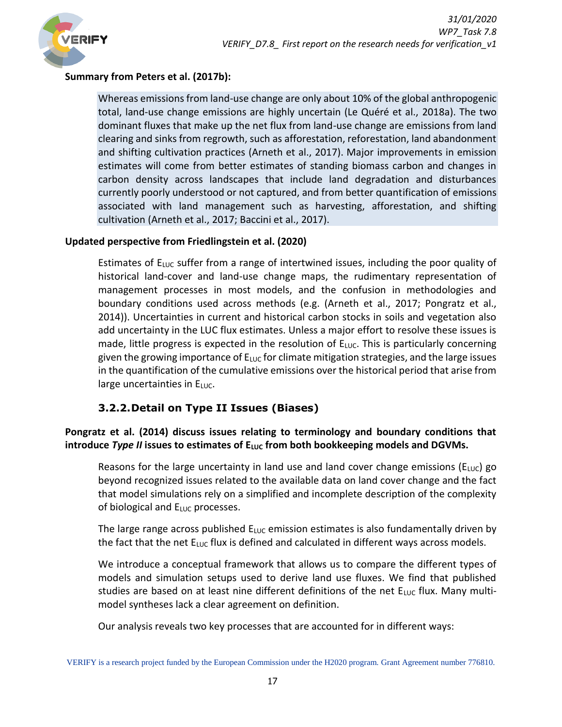

#### **Summary from Peters et al. (2017b):**

Whereas emissions from land-use change are only about 10% of the global anthropogenic total, land-use change emissions are highly uncertain (Le Quéré et al., 2018a). The two dominant fluxes that make up the net flux from land-use change are emissions from land clearing and sinks from regrowth, such as afforestation, reforestation, land abandonment and shifting cultivation practices (Arneth et al., 2017). Major improvements in emission estimates will come from better estimates of standing biomass carbon and changes in carbon density across landscapes that include land degradation and disturbances currently poorly understood or not captured, and from better quantification of emissions associated with land management such as harvesting, afforestation, and shifting cultivation (Arneth et al., 2017; Baccini et al., 2017).

### **Updated perspective from Friedlingstein et al. (2020)**

Estimates of  $E_{\text{LUC}}$  suffer from a range of intertwined issues, including the poor quality of historical land-cover and land-use change maps, the rudimentary representation of management processes in most models, and the confusion in methodologies and boundary conditions used across methods (e.g. (Arneth et al., 2017; Pongratz et al., 2014)). Uncertainties in current and historical carbon stocks in soils and vegetation also add uncertainty in the LUC flux estimates. Unless a major effort to resolve these issues is made, little progress is expected in the resolution of  $E_{LUC}$ . This is particularly concerning given the growing importance of  $E_{\text{LUC}}$  for climate mitigation strategies, and the large issues in the quantification of the cumulative emissions over the historical period that arise from large uncertainties in  $E_{LUC}$ .

# **3.2.2.Detail on Type II Issues (Biases)**

### <span id="page-16-0"></span>**Pongratz et al. (2014) discuss issues relating to terminology and boundary conditions that introduce** *Type II* **issues to estimates of ELUC from both bookkeeping models and DGVMs.**

Reasons for the large uncertainty in land use and land cover change emissions ( $E_{LUC}$ ) go beyond recognized issues related to the available data on land cover change and the fact that model simulations rely on a simplified and incomplete description of the complexity of biological and  $E_{LUC}$  processes.

The large range across published  $E_{LUC}$  emission estimates is also fundamentally driven by the fact that the net  $E_{LUC}$  flux is defined and calculated in different ways across models.

We introduce a conceptual framework that allows us to compare the different types of models and simulation setups used to derive land use fluxes. We find that published studies are based on at least nine different definitions of the net  $E_{\text{LUC}}$  flux. Many multimodel syntheses lack a clear agreement on definition.

Our analysis reveals two key processes that are accounted for in different ways: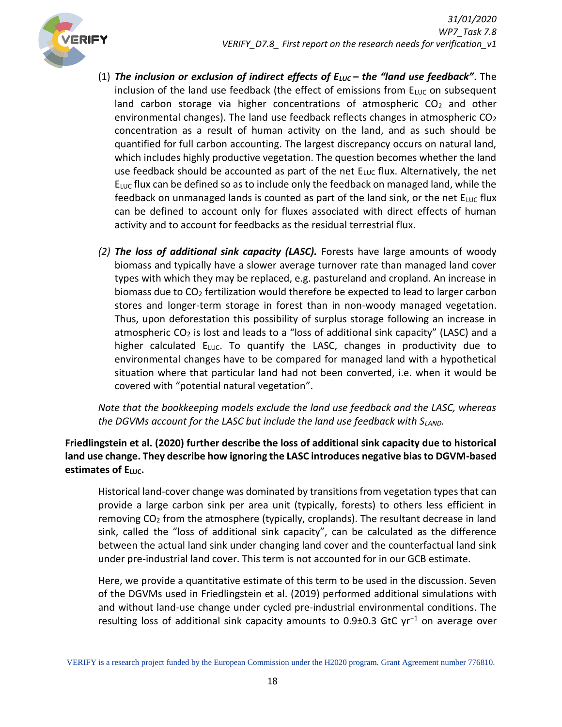

- (1) *The inclusion or exclusion of indirect effects of ELUC – the "land use feedback"*. The inclusion of the land use feedback (the effect of emissions from  $E_{\text{LUC}}$  on subsequent land carbon storage via higher concentrations of atmospheric  $CO<sub>2</sub>$  and other environmental changes). The land use feedback reflects changes in atmospheric  $CO<sub>2</sub>$ concentration as a result of human activity on the land, and as such should be quantified for full carbon accounting. The largest discrepancy occurs on natural land, which includes highly productive vegetation. The question becomes whether the land use feedback should be accounted as part of the net  $E_{LUC}$  flux. Alternatively, the net  $E_{LUC}$  flux can be defined so as to include only the feedback on managed land, while the feedback on unmanaged lands is counted as part of the land sink, or the net  $E_{\text{LUC}}$  flux can be defined to account only for fluxes associated with direct effects of human activity and to account for feedbacks as the residual terrestrial flux.
- *(2) The loss of additional sink capacity (LASC).* Forests have large amounts of woody biomass and typically have a slower average turnover rate than managed land cover types with which they may be replaced, e.g. pastureland and cropland. An increase in biomass due to CO<sup>2</sup> fertilization would therefore be expected to lead to larger carbon stores and longer-term storage in forest than in non-woody managed vegetation. Thus, upon deforestation this possibility of surplus storage following an increase in atmospheric  $CO<sub>2</sub>$  is lost and leads to a "loss of additional sink capacity" (LASC) and a higher calculated  $E_{LUC}$ . To quantify the LASC, changes in productivity due to environmental changes have to be compared for managed land with a hypothetical situation where that particular land had not been converted, i.e. when it would be covered with "potential natural vegetation".

*Note that the bookkeeping models exclude the land use feedback and the LASC, whereas the DGVMs account for the LASC but include the land use feedback with SLAND.* 

**Friedlingstein et al. (2020) further describe the loss of additional sink capacity due to historical land use change. They describe how ignoring the LASC introduces negative bias to DGVM-based estimates of E**<sub>LUC</sub>.

Historical land-cover change was dominated by transitions from vegetation types that can provide a large carbon sink per area unit (typically, forests) to others less efficient in removing  $CO<sub>2</sub>$  from the atmosphere (typically, croplands). The resultant decrease in land sink, called the "loss of additional sink capacity", can be calculated as the difference between the actual land sink under changing land cover and the counterfactual land sink under pre-industrial land cover. This term is not accounted for in our GCB estimate.

Here, we provide a quantitative estimate of this term to be used in the discussion. Seven of the DGVMs used in Friedlingstein et al. (2019) performed additional simulations with and without land-use change under cycled pre-industrial environmental conditions. The resulting loss of additional sink capacity amounts to 0.9±0.3 GtC yr<sup>−</sup><sup>1</sup> on average over

VERIFY is a research project funded by the European Commission under the H2020 program. Grant Agreement number 776810.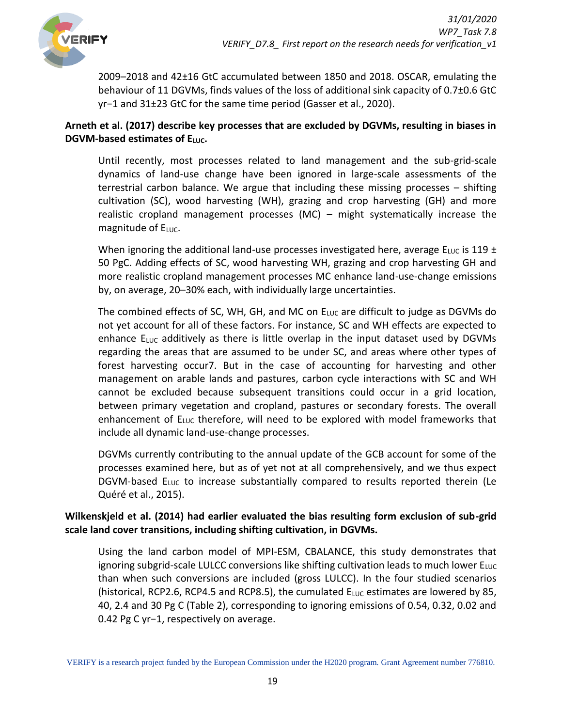

2009–2018 and 42±16 GtC accumulated between 1850 and 2018. OSCAR, emulating the behaviour of 11 DGVMs, finds values of the loss of additional sink capacity of 0.7±0.6 GtC yr−1 and 31±23 GtC for the same time period (Gasser et al., 2020).

### **Arneth et al. (2017) describe key processes that are excluded by DGVMs, resulting in biases in DGVM-based estimates of ELUC.**

Until recently, most processes related to land management and the sub-grid-scale dynamics of land-use change have been ignored in large-scale assessments of the terrestrial carbon balance. We argue that including these missing processes – shifting cultivation (SC), wood harvesting (WH), grazing and crop harvesting (GH) and more realistic cropland management processes (MC) – might systematically increase the magnitude of  $E_{LUC}$ .

When ignoring the additional land-use processes investigated here, average  $E_{\text{LUC}}$  is 119 ± 50 PgC. Adding effects of SC, wood harvesting WH, grazing and crop harvesting GH and more realistic cropland management processes MC enhance land-use-change emissions by, on average, 20–30% each, with individually large uncertainties.

The combined effects of SC, WH, GH, and MC on  $E_{LUC}$  are difficult to judge as DGVMs do not yet account for all of these factors. For instance, SC and WH effects are expected to enhance  $E_{\text{LUC}}$  additively as there is little overlap in the input dataset used by DGVMs regarding the areas that are assumed to be under SC, and areas where other types of forest harvesting occur7. But in the case of accounting for harvesting and other management on arable lands and pastures, carbon cycle interactions with SC and WH cannot be excluded because subsequent transitions could occur in a grid location, between primary vegetation and cropland, pastures or secondary forests. The overall enhancement of  $E_{LUC}$  therefore, will need to be explored with model frameworks that include all dynamic land-use-change processes.

DGVMs currently contributing to the annual update of the GCB account for some of the processes examined here, but as of yet not at all comprehensively, and we thus expect DGVM-based  $E_{LUC}$  to increase substantially compared to results reported therein (Le Quéré et al., 2015).

### **Wilkenskjeld et al. (2014) had earlier evaluated the bias resulting form exclusion of sub-grid scale land cover transitions, including shifting cultivation, in DGVMs.**

Using the land carbon model of MPI-ESM, CBALANCE, this study demonstrates that ignoring subgrid-scale LULCC conversions like shifting cultivation leads to much lower ELUC than when such conversions are included (gross LULCC). In the four studied scenarios (historical, RCP2.6, RCP4.5 and RCP8.5), the cumulated  $E_{\text{LUC}}$  estimates are lowered by 85, 40, 2.4 and 30 Pg C (Table 2), corresponding to ignoring emissions of 0.54, 0.32, 0.02 and 0.42 Pg C yr−1, respectively on average.

VERIFY is a research project funded by the European Commission under the H2020 program. Grant Agreement number 776810.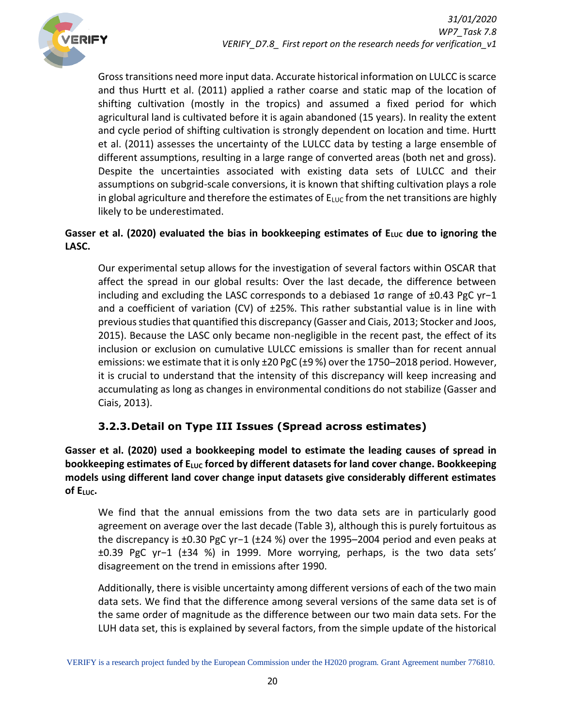

Gross transitions need more input data. Accurate historical information on LULCC is scarce and thus Hurtt et al. (2011) applied a rather coarse and static map of the location of shifting cultivation (mostly in the tropics) and assumed a fixed period for which agricultural land is cultivated before it is again abandoned (15 years). In reality the extent and cycle period of shifting cultivation is strongly dependent on location and time. Hurtt et al. (2011) assesses the uncertainty of the LULCC data by testing a large ensemble of different assumptions, resulting in a large range of converted areas (both net and gross). Despite the uncertainties associated with existing data sets of LULCC and their assumptions on subgrid-scale conversions, it is known that shifting cultivation plays a role in global agriculture and therefore the estimates of  $E_{\text{LUC}}$  from the net transitions are highly likely to be underestimated.

### Gasser et al. (2020) evaluated the bias in bookkeeping estimates of E<sub>LUC</sub> due to ignoring the **LASC.**

Our experimental setup allows for the investigation of several factors within OSCAR that affect the spread in our global results: Over the last decade, the difference between including and excluding the LASC corresponds to a debiased 1σ range of ±0.43 PgC yr−1 and a coefficient of variation (CV) of  $\pm 25\%$ . This rather substantial value is in line with previous studies that quantified this discrepancy (Gasser and Ciais, 2013; Stocker and Joos, 2015). Because the LASC only became non-negligible in the recent past, the effect of its inclusion or exclusion on cumulative LULCC emissions is smaller than for recent annual emissions: we estimate that it is only ±20 PgC (±9 %) over the 1750–2018 period. However, it is crucial to understand that the intensity of this discrepancy will keep increasing and accumulating as long as changes in environmental conditions do not stabilize (Gasser and Ciais, 2013).

# **3.2.3.Detail on Type III Issues (Spread across estimates)**

<span id="page-19-0"></span>**Gasser et al. (2020) used a bookkeeping model to estimate the leading causes of spread in bookkeeping estimates of ELUC forced by different datasets for land cover change. Bookkeeping models using different land cover change input datasets give considerably different estimates of ELUC.**

We find that the annual emissions from the two data sets are in particularly good agreement on average over the last decade (Table 3), although this is purely fortuitous as the discrepancy is ±0.30 PgC yr−1 (±24 %) over the 1995–2004 period and even peaks at ±0.39 PgC yr−1 (±34 %) in 1999. More worrying, perhaps, is the two data sets' disagreement on the trend in emissions after 1990.

Additionally, there is visible uncertainty among different versions of each of the two main data sets. We find that the difference among several versions of the same data set is of the same order of magnitude as the difference between our two main data sets. For the LUH data set, this is explained by several factors, from the simple update of the historical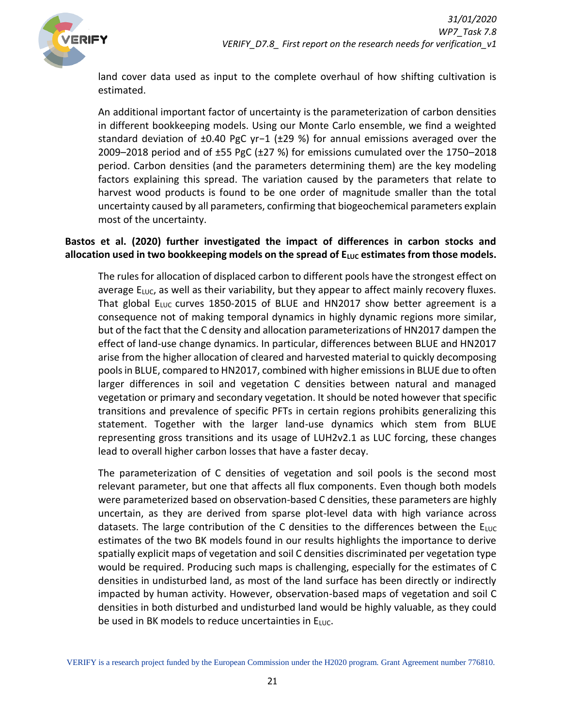

land cover data used as input to the complete overhaul of how shifting cultivation is estimated.

An additional important factor of uncertainty is the parameterization of carbon densities in different bookkeeping models. Using our Monte Carlo ensemble, we find a weighted standard deviation of ±0.40 PgC yr−1 (±29 %) for annual emissions averaged over the 2009–2018 period and of ±55 PgC (±27 %) for emissions cumulated over the 1750–2018 period. Carbon densities (and the parameters determining them) are the key modeling factors explaining this spread. The variation caused by the parameters that relate to harvest wood products is found to be one order of magnitude smaller than the total uncertainty caused by all parameters, confirming that biogeochemical parameters explain most of the uncertainty.

#### **Bastos et al. (2020) further investigated the impact of differences in carbon stocks and**  allocation used in two bookkeeping models on the spread of  $E_{\text{LUC}}$  estimates from those models.

The rules for allocation of displaced carbon to different pools have the strongest effect on average  $E_{\text{LUC}}$ , as well as their variability, but they appear to affect mainly recovery fluxes. That global  $E_{LUC}$  curves 1850-2015 of BLUE and HN2017 show better agreement is a consequence not of making temporal dynamics in highly dynamic regions more similar, but of the fact that the C density and allocation parameterizations of HN2017 dampen the effect of land-use change dynamics. In particular, differences between BLUE and HN2017 arise from the higher allocation of cleared and harvested material to quickly decomposing pools in BLUE, compared to HN2017, combined with higher emissions in BLUE due to often larger differences in soil and vegetation C densities between natural and managed vegetation or primary and secondary vegetation. It should be noted however that specific transitions and prevalence of specific PFTs in certain regions prohibits generalizing this statement. Together with the larger land-use dynamics which stem from BLUE representing gross transitions and its usage of LUH2v2.1 as LUC forcing, these changes lead to overall higher carbon losses that have a faster decay.

The parameterization of C densities of vegetation and soil pools is the second most relevant parameter, but one that affects all flux components. Even though both models were parameterized based on observation-based C densities, these parameters are highly uncertain, as they are derived from sparse plot-level data with high variance across datasets. The large contribution of the C densities to the differences between the  $E_{\text{LUC}}$ estimates of the two BK models found in our results highlights the importance to derive spatially explicit maps of vegetation and soil C densities discriminated per vegetation type would be required. Producing such maps is challenging, especially for the estimates of C densities in undisturbed land, as most of the land surface has been directly or indirectly impacted by human activity. However, observation-based maps of vegetation and soil C densities in both disturbed and undisturbed land would be highly valuable, as they could be used in BK models to reduce uncertainties in ELUC.

VERIFY is a research project funded by the European Commission under the H2020 program. Grant Agreement number 776810.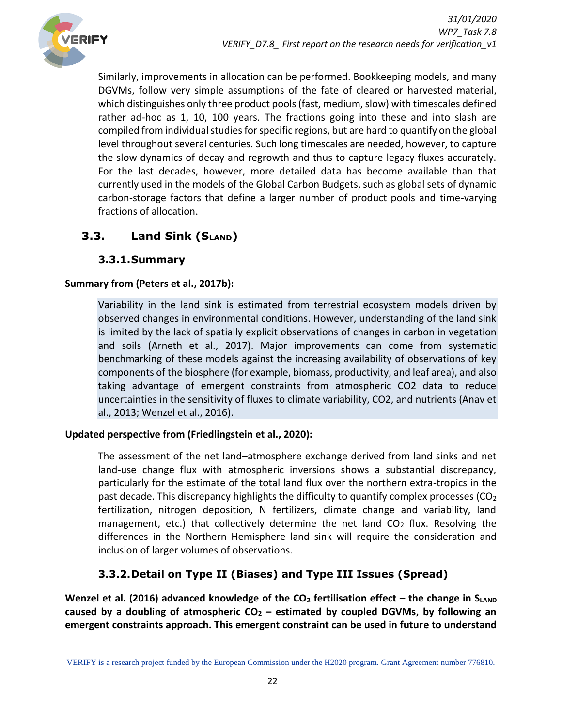

Similarly, improvements in allocation can be performed. Bookkeeping models, and many DGVMs, follow very simple assumptions of the fate of cleared or harvested material, which distinguishes only three product pools (fast, medium, slow) with timescales defined rather ad-hoc as 1, 10, 100 years. The fractions going into these and into slash are compiled from individual studies for specific regions, but are hard to quantify on the global level throughout several centuries. Such long timescales are needed, however, to capture the slow dynamics of decay and regrowth and thus to capture legacy fluxes accurately. For the last decades, however, more detailed data has become available than that currently used in the models of the Global Carbon Budgets, such as global sets of dynamic carbon-storage factors that define a larger number of product pools and time-varying fractions of allocation.

# <span id="page-21-0"></span>**3.3. Land Sink (SLAND)**

### **3.3.1.Summary**

### <span id="page-21-1"></span>**Summary from (Peters et al., 2017b):**

Variability in the land sink is estimated from terrestrial ecosystem models driven by observed changes in environmental conditions. However, understanding of the land sink is limited by the lack of spatially explicit observations of changes in carbon in vegetation and soils (Arneth et al., 2017). Major improvements can come from systematic benchmarking of these models against the increasing availability of observations of key components of the biosphere (for example, biomass, productivity, and leaf area), and also taking advantage of emergent constraints from atmospheric CO2 data to reduce uncertainties in the sensitivity of fluxes to climate variability, CO2, and nutrients (Anav et al., 2013; Wenzel et al., 2016).

#### **Updated perspective from (Friedlingstein et al., 2020):**

The assessment of the net land–atmosphere exchange derived from land sinks and net land-use change flux with atmospheric inversions shows a substantial discrepancy, particularly for the estimate of the total land flux over the northern extra-tropics in the past decade. This discrepancy highlights the difficulty to quantify complex processes ( $CO<sub>2</sub>$ fertilization, nitrogen deposition, N fertilizers, climate change and variability, land management, etc.) that collectively determine the net land  $CO<sub>2</sub>$  flux. Resolving the differences in the Northern Hemisphere land sink will require the consideration and inclusion of larger volumes of observations.

# **3.3.2.Detail on Type II (Biases) and Type III Issues (Spread)**

<span id="page-21-2"></span>**Wenzel et al. (2016) advanced knowledge of the CO<sup>2</sup> fertilisation effect – the change in SLAND caused by a doubling of atmospheric CO<sup>2</sup> – estimated by coupled DGVMs, by following an emergent constraints approach. This emergent constraint can be used in future to understand**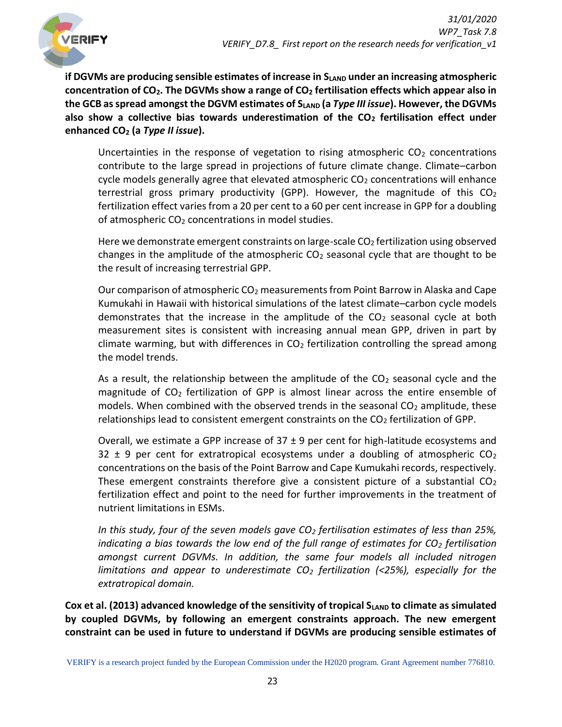

**if DGVMs are producing sensible estimates of increase in SLAND under an increasing atmospheric concentration of CO2. The DGVMs show a range of CO<sup>2</sup> fertilisation effects which appear also in the GCB as spread amongst the DGVM estimates of SLAND (a** *Type III issue***). However, the DGVMs also show a collective bias towards underestimation of the CO<sup>2</sup> fertilisation effect under enhanced CO<sup>2</sup> (a** *Type II issue***).**

Uncertainties in the response of vegetation to rising atmospheric  $CO<sub>2</sub>$  concentrations contribute to the large spread in projections of future climate change. Climate–carbon cycle models generally agree that elevated atmospheric  $CO<sub>2</sub>$  concentrations will enhance terrestrial gross primary productivity (GPP). However, the magnitude of this  $CO<sub>2</sub>$ fertilization effect varies from a 20 per cent to a 60 per cent increase in GPP for a doubling of atmospheric  $CO<sub>2</sub>$  concentrations in model studies.

Here we demonstrate emergent constraints on large-scale  $CO<sub>2</sub>$  fertilization using observed changes in the amplitude of the atmospheric  $CO<sub>2</sub>$  seasonal cycle that are thought to be the result of increasing terrestrial GPP.

Our comparison of atmospheric  $CO<sub>2</sub>$  measurements from Point Barrow in Alaska and Cape Kumukahi in Hawaii with historical simulations of the latest climate–carbon cycle models demonstrates that the increase in the amplitude of the  $CO<sub>2</sub>$  seasonal cycle at both measurement sites is consistent with increasing annual mean GPP, driven in part by climate warming, but with differences in  $CO<sub>2</sub>$  fertilization controlling the spread among the model trends.

As a result, the relationship between the amplitude of the  $CO<sub>2</sub>$  seasonal cycle and the magnitude of  $CO<sub>2</sub>$  fertilization of GPP is almost linear across the entire ensemble of models. When combined with the observed trends in the seasonal  $CO<sub>2</sub>$  amplitude, these relationships lead to consistent emergent constraints on the  $CO<sub>2</sub>$  fertilization of GPP.

Overall, we estimate a GPP increase of  $37 \pm 9$  per cent for high-latitude ecosystems and 32  $\pm$  9 per cent for extratropical ecosystems under a doubling of atmospheric CO<sub>2</sub> concentrations on the basis of the Point Barrow and Cape Kumukahi records, respectively. These emergent constraints therefore give a consistent picture of a substantial  $CO<sub>2</sub>$ fertilization effect and point to the need for further improvements in the treatment of nutrient limitations in ESMs.

*In this study, four of the seven models gave CO<sup>2</sup> fertilisation estimates of less than 25%, indicating a bias towards the low end of the full range of estimates for CO<sup>2</sup> fertilisation amongst current DGVMs. In addition, the same four models all included nitrogen limitations and appear to underestimate CO<sup>2</sup> fertilization (<25%), especially for the extratropical domain.* 

Cox et al. (2013) advanced knowledge of the sensitivity of tropical S<sub>LAND</sub> to climate as simulated **by coupled DGVMs, by following an emergent constraints approach. The new emergent constraint can be used in future to understand if DGVMs are producing sensible estimates of**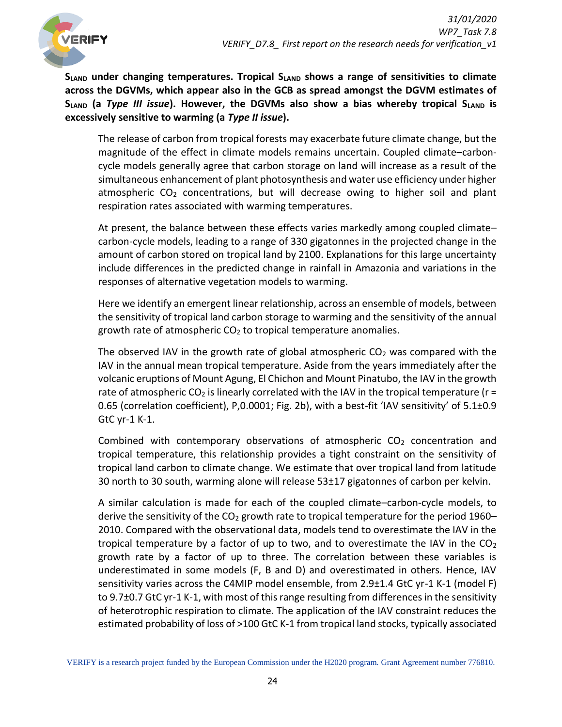

**SLAND under changing temperatures. Tropical SLAND shows a range of sensitivities to climate across the DGVMs, which appear also in the GCB as spread amongst the DGVM estimates of SLAND (a** *Type III issue***). However, the DGVMs also show a bias whereby tropical SLAND is excessively sensitive to warming (a** *Type II issue***).**

The release of carbon from tropical forests may exacerbate future climate change, but the magnitude of the effect in climate models remains uncertain. Coupled climate–carboncycle models generally agree that carbon storage on land will increase as a result of the simultaneous enhancement of plant photosynthesis and water use efficiency under higher atmospheric  $CO<sub>2</sub>$  concentrations, but will decrease owing to higher soil and plant respiration rates associated with warming temperatures.

At present, the balance between these effects varies markedly among coupled climate– carbon-cycle models, leading to a range of 330 gigatonnes in the projected change in the amount of carbon stored on tropical land by 2100. Explanations for this large uncertainty include differences in the predicted change in rainfall in Amazonia and variations in the responses of alternative vegetation models to warming.

Here we identify an emergent linear relationship, across an ensemble of models, between the sensitivity of tropical land carbon storage to warming and the sensitivity of the annual growth rate of atmospheric  $CO<sub>2</sub>$  to tropical temperature anomalies.

The observed IAV in the growth rate of global atmospheric  $CO<sub>2</sub>$  was compared with the IAV in the annual mean tropical temperature. Aside from the years immediately after the volcanic eruptions of Mount Agung, El Chichon and Mount Pinatubo, the IAV in the growth rate of atmospheric CO<sub>2</sub> is linearly correlated with the IAV in the tropical temperature ( $r =$ 0.65 (correlation coefficient), P,0.0001; Fig. 2b), with a best-fit 'IAV sensitivity' of 5.1±0.9 GtC yr-1 K-1.

Combined with contemporary observations of atmospheric  $CO<sub>2</sub>$  concentration and tropical temperature, this relationship provides a tight constraint on the sensitivity of tropical land carbon to climate change. We estimate that over tropical land from latitude 30 north to 30 south, warming alone will release 53±17 gigatonnes of carbon per kelvin.

A similar calculation is made for each of the coupled climate–carbon-cycle models, to derive the sensitivity of the  $CO<sub>2</sub>$  growth rate to tropical temperature for the period 1960– 2010. Compared with the observational data, models tend to overestimate the IAV in the tropical temperature by a factor of up to two, and to overestimate the IAV in the  $CO<sub>2</sub>$ growth rate by a factor of up to three. The correlation between these variables is underestimated in some models (F, B and D) and overestimated in others. Hence, IAV sensitivity varies across the C4MIP model ensemble, from 2.9±1.4 GtC yr-1 K-1 (model F) to 9.7±0.7 GtC yr-1 K-1, with most of this range resulting from differences in the sensitivity of heterotrophic respiration to climate. The application of the IAV constraint reduces the estimated probability of loss of >100 GtC K-1 from tropical land stocks, typically associated

VERIFY is a research project funded by the European Commission under the H2020 program. Grant Agreement number 776810.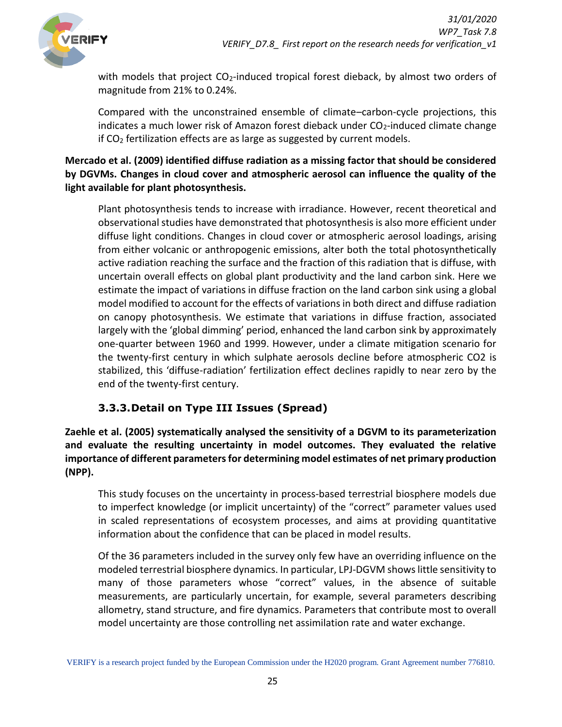

with models that project  $CO<sub>2</sub>$ -induced tropical forest dieback, by almost two orders of magnitude from 21% to 0.24%.

Compared with the unconstrained ensemble of climate–carbon-cycle projections, this indicates a much lower risk of Amazon forest dieback under CO<sub>2</sub>-induced climate change if CO<sup>2</sup> fertilization effects are as large as suggested by current models.

**Mercado et al. (2009) identified diffuse radiation as a missing factor that should be considered by DGVMs. Changes in cloud cover and atmospheric aerosol can influence the quality of the light available for plant photosynthesis.** 

Plant photosynthesis tends to increase with irradiance. However, recent theoretical and observational studies have demonstrated that photosynthesis is also more efficient under diffuse light conditions. Changes in cloud cover or atmospheric aerosol loadings, arising from either volcanic or anthropogenic emissions, alter both the total photosynthetically active radiation reaching the surface and the fraction of this radiation that is diffuse, with uncertain overall effects on global plant productivity and the land carbon sink. Here we estimate the impact of variations in diffuse fraction on the land carbon sink using a global model modified to account for the effects of variations in both direct and diffuse radiation on canopy photosynthesis. We estimate that variations in diffuse fraction, associated largely with the 'global dimming' period, enhanced the land carbon sink by approximately one-quarter between 1960 and 1999. However, under a climate mitigation scenario for the twenty-first century in which sulphate aerosols decline before atmospheric CO2 is stabilized, this 'diffuse-radiation' fertilization effect declines rapidly to near zero by the end of the twenty-first century.

# **3.3.3.Detail on Type III Issues (Spread)**

<span id="page-24-0"></span>**Zaehle et al. (2005) systematically analysed the sensitivity of a DGVM to its parameterization and evaluate the resulting uncertainty in model outcomes. They evaluated the relative importance of different parameters for determining model estimates of net primary production (NPP).**

This study focuses on the uncertainty in process‐based terrestrial biosphere models due to imperfect knowledge (or implicit uncertainty) of the "correct" parameter values used in scaled representations of ecosystem processes, and aims at providing quantitative information about the confidence that can be placed in model results.

Of the 36 parameters included in the survey only few have an overriding influence on the modeled terrestrial biosphere dynamics. In particular, LPJ‐DGVM shows little sensitivity to many of those parameters whose "correct" values, in the absence of suitable measurements, are particularly uncertain, for example, several parameters describing allometry, stand structure, and fire dynamics. Parameters that contribute most to overall model uncertainty are those controlling net assimilation rate and water exchange.

VERIFY is a research project funded by the European Commission under the H2020 program. Grant Agreement number 776810.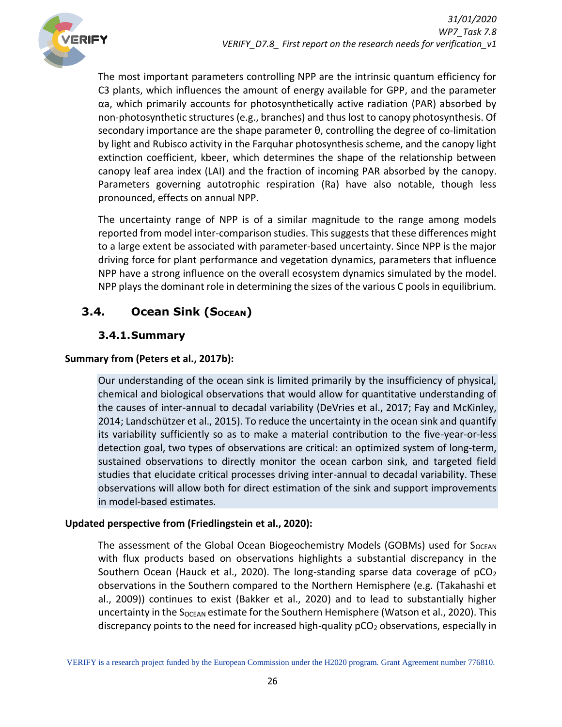

The most important parameters controlling NPP are the intrinsic quantum efficiency for C3 plants, which influences the amount of energy available for GPP, and the parameter αa, which primarily accounts for photosynthetically active radiation (PAR) absorbed by non‐photosynthetic structures (e.g., branches) and thus lost to canopy photosynthesis. Of secondary importance are the shape parameter θ, controlling the degree of co-limitation by light and Rubisco activity in the Farquhar photosynthesis scheme, and the canopy light extinction coefficient, kbeer, which determines the shape of the relationship between canopy leaf area index (LAI) and the fraction of incoming PAR absorbed by the canopy. Parameters governing autotrophic respiration (Ra) have also notable, though less pronounced, effects on annual NPP.

The uncertainty range of NPP is of a similar magnitude to the range among models reported from model inter‐comparison studies. This suggests that these differences might to a large extent be associated with parameter‐based uncertainty. Since NPP is the major driving force for plant performance and vegetation dynamics, parameters that influence NPP have a strong influence on the overall ecosystem dynamics simulated by the model. NPP plays the dominant role in determining the sizes of the various C pools in equilibrium.

# <span id="page-25-0"></span>**3.4. Ocean Sink (SOCEAN)**

### **3.4.1.Summary**

### <span id="page-25-1"></span>**Summary from (Peters et al., 2017b):**

Our understanding of the ocean sink is limited primarily by the insufficiency of physical, chemical and biological observations that would allow for quantitative understanding of the causes of inter-annual to decadal variability (DeVries et al., 2017; Fay and McKinley, 2014; Landschützer et al., 2015). To reduce the uncertainty in the ocean sink and quantify its variability sufficiently so as to make a material contribution to the five-year-or-less detection goal, two types of observations are critical: an optimized system of long-term, sustained observations to directly monitor the ocean carbon sink, and targeted field studies that elucidate critical processes driving inter-annual to decadal variability. These observations will allow both for direct estimation of the sink and support improvements in model-based estimates.

#### **Updated perspective from (Friedlingstein et al., 2020):**

The assessment of the Global Ocean Biogeochemistry Models (GOBMs) used for S<sub>OCEAN</sub> with flux products based on observations highlights a substantial discrepancy in the Southern Ocean (Hauck et al., 2020). The long-standing sparse data coverage of  $pCO<sub>2</sub>$ observations in the Southern compared to the Northern Hemisphere (e.g. (Takahashi et al., 2009)) continues to exist (Bakker et al., 2020) and to lead to substantially higher uncertainty in the  $S_{OCEAN}$  estimate for the Southern Hemisphere (Watson et al., 2020). This discrepancy points to the need for increased high-quality  $pCO<sub>2</sub>$  observations, especially in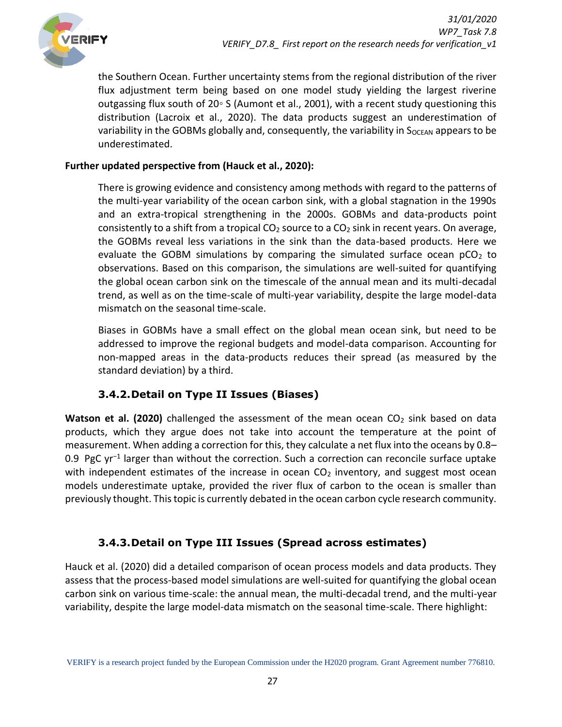

the Southern Ocean. Further uncertainty stems from the regional distribution of the river flux adjustment term being based on one model study yielding the largest riverine outgassing flux south of 20◦ S (Aumont et al., 2001), with a recent study questioning this distribution (Lacroix et al., 2020). The data products suggest an underestimation of variability in the GOBMs globally and, consequently, the variability in Socean appears to be underestimated.

#### **Further updated perspective from (Hauck et al., 2020):**

There is growing evidence and consistency among methods with regard to the patterns of the multi-year variability of the ocean carbon sink, with a global stagnation in the 1990s and an extra-tropical strengthening in the 2000s. GOBMs and data-products point consistently to a shift from a tropical  $CO<sub>2</sub>$  source to a  $CO<sub>2</sub>$  sink in recent years. On average, the GOBMs reveal less variations in the sink than the data-based products. Here we evaluate the GOBM simulations by comparing the simulated surface ocean  $pCO<sub>2</sub>$  to observations. Based on this comparison, the simulations are well-suited for quantifying the global ocean carbon sink on the timescale of the annual mean and its multi-decadal trend, as well as on the time-scale of multi-year variability, despite the large model-data mismatch on the seasonal time-scale.

Biases in GOBMs have a small effect on the global mean ocean sink, but need to be addressed to improve the regional budgets and model-data comparison. Accounting for non-mapped areas in the data-products reduces their spread (as measured by the standard deviation) by a third.

#### **3.4.2.Detail on Type II Issues (Biases)**

<span id="page-26-0"></span>**Watson et al. (2020)** challenged the assessment of the mean ocean CO<sub>2</sub> sink based on data products, which they argue does not take into account the temperature at the point of measurement. When adding a correction for this, they calculate a net flux into the oceans by 0.8– 0.9 PgC yr<sup>-1</sup> larger than without the correction. Such a correction can reconcile surface uptake with independent estimates of the increase in ocean  $CO<sub>2</sub>$  inventory, and suggest most ocean models underestimate uptake, provided the river flux of carbon to the ocean is smaller than previously thought. This topic is currently debated in the ocean carbon cycle research community.

### **3.4.3.Detail on Type III Issues (Spread across estimates)**

<span id="page-26-1"></span>Hauck et al. (2020) did a detailed comparison of ocean process models and data products. They assess that the process-based model simulations are well-suited for quantifying the global ocean carbon sink on various time-scale: the annual mean, the multi-decadal trend, and the multi-year variability, despite the large model-data mismatch on the seasonal time-scale. There highlight: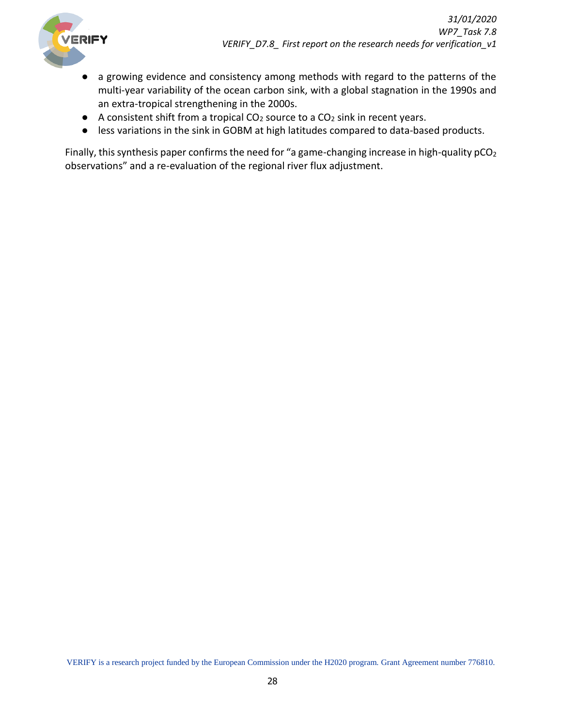

- a growing evidence and consistency among methods with regard to the patterns of the multi-year variability of the ocean carbon sink, with a global stagnation in the 1990s and an extra-tropical strengthening in the 2000s.
- $\bullet$  A consistent shift from a tropical CO<sub>2</sub> source to a CO<sub>2</sub> sink in recent years.
- less variations in the sink in GOBM at high latitudes compared to data-based products.

Finally, this synthesis paper confirms the need for "a game-changing increase in high-quality  $pCO<sub>2</sub>$ observations" and a re-evaluation of the regional river flux adjustment.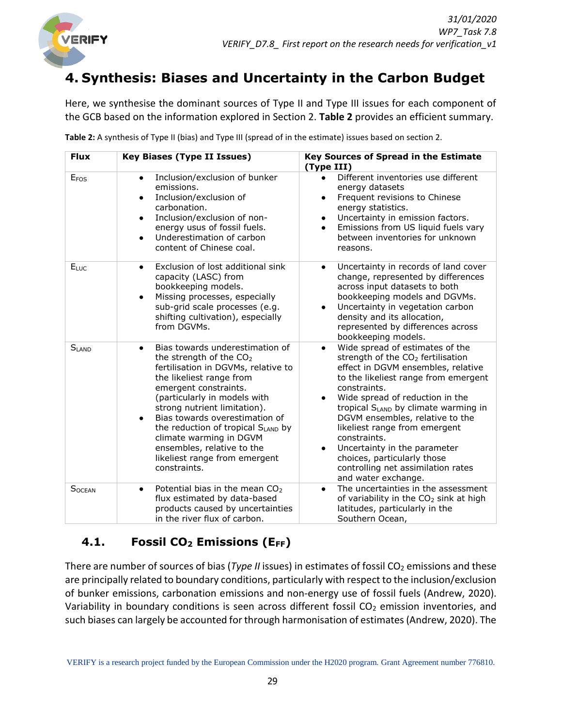

# <span id="page-28-0"></span>**4. Synthesis: Biases and Uncertainty in the Carbon Budget**

Here, we synthesise the dominant sources of Type II and Type III issues for each component of the GCB based on the information explored in Section 2. **Table 2** provides an efficient summary.

| <b>Flux</b>      | <b>Key Biases (Type II Issues)</b>                                                                                                                                                                                                                                                                                                                                                                                                             | <b>Key Sources of Spread in the Estimate</b><br>(Type III)                                                                                                                                                                                                                                                                                                                                                                                                                                         |
|------------------|------------------------------------------------------------------------------------------------------------------------------------------------------------------------------------------------------------------------------------------------------------------------------------------------------------------------------------------------------------------------------------------------------------------------------------------------|----------------------------------------------------------------------------------------------------------------------------------------------------------------------------------------------------------------------------------------------------------------------------------------------------------------------------------------------------------------------------------------------------------------------------------------------------------------------------------------------------|
| E <sub>FOS</sub> | Inclusion/exclusion of bunker<br>$\bullet$<br>emissions.<br>Inclusion/exclusion of<br>$\bullet$<br>carbonation.<br>Inclusion/exclusion of non-<br>$\bullet$<br>energy usus of fossil fuels.<br>Underestimation of carbon<br>$\bullet$<br>content of Chinese coal.                                                                                                                                                                              | Different inventories use different<br>energy datasets<br>Frequent revisions to Chinese<br>$\bullet$<br>energy statistics.<br>Uncertainty in emission factors.<br>Emissions from US liquid fuels vary<br>$\bullet$<br>between inventories for unknown<br>reasons.                                                                                                                                                                                                                                  |
| ELUC             | Exclusion of lost additional sink<br>$\bullet$<br>capacity (LASC) from<br>bookkeeping models.<br>Missing processes, especially<br>$\bullet$<br>sub-grid scale processes (e.g.<br>shifting cultivation), especially<br>from DGVMs.                                                                                                                                                                                                              | Uncertainty in records of land cover<br>$\bullet$<br>change, represented by differences<br>across input datasets to both<br>bookkeeping models and DGVMs.<br>Uncertainty in vegetation carbon<br>density and its allocation,<br>represented by differences across<br>bookkeeping models.                                                                                                                                                                                                           |
| $S_{LAND}$       | Bias towards underestimation of<br>$\bullet$<br>the strength of the CO <sub>2</sub><br>fertilisation in DGVMs, relative to<br>the likeliest range from<br>emergent constraints.<br>(particularly in models with<br>strong nutrient limitation).<br>Bias towards overestimation of<br>$\bullet$<br>the reduction of tropical SLAND by<br>climate warming in DGVM<br>ensembles, relative to the<br>likeliest range from emergent<br>constraints. | Wide spread of estimates of the<br>$\bullet$<br>strength of the CO <sub>2</sub> fertilisation<br>effect in DGVM ensembles, relative<br>to the likeliest range from emergent<br>constraints.<br>Wide spread of reduction in the<br>tropical S <sub>LAND</sub> by climate warming in<br>DGVM ensembles, relative to the<br>likeliest range from emergent<br>constraints.<br>Uncertainty in the parameter<br>choices, particularly those<br>controlling net assimilation rates<br>and water exchange. |
| <b>SOCEAN</b>    | Potential bias in the mean $CO2$<br>$\bullet$<br>flux estimated by data-based<br>products caused by uncertainties<br>in the river flux of carbon.                                                                                                                                                                                                                                                                                              | The uncertainties in the assessment<br>of variability in the CO <sub>2</sub> sink at high<br>latitudes, particularly in the<br>Southern Ocean,                                                                                                                                                                                                                                                                                                                                                     |

**Table 2:** A synthesis of Type II (bias) and Type III (spread of in the estimate) issues based on section 2.

# <span id="page-28-1"></span>**4.1. Fossil CO<sup>2</sup> Emissions (EFF)**

There are number of sources of bias (*Type II* issues) in estimates of fossil CO<sub>2</sub> emissions and these are principally related to boundary conditions, particularly with respect to the inclusion/exclusion of bunker emissions, carbonation emissions and non-energy use of fossil fuels (Andrew, 2020). Variability in boundary conditions is seen across different fossil  $CO<sub>2</sub>$  emission inventories, and such biases can largely be accounted for through harmonisation of estimates (Andrew, 2020). The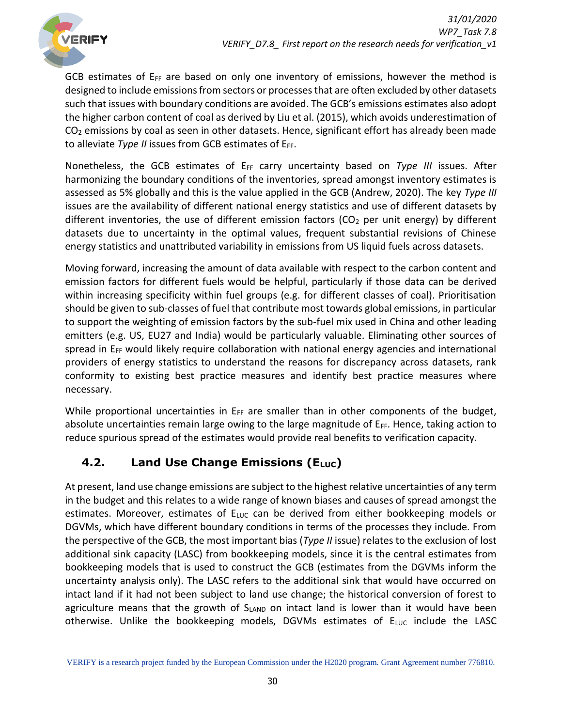

GCB estimates of  $E_{FF}$  are based on only one inventory of emissions, however the method is designed to include emissions from sectors or processes that are often excluded by other datasets such that issues with boundary conditions are avoided. The GCB's emissions estimates also adopt the higher carbon content of coal as derived by Liu et al. (2015), which avoids underestimation of CO<sup>2</sup> emissions by coal as seen in other datasets. Hence, significant effort has already been made to alleviate *Type II* issues from GCB estimates of E<sub>FF</sub>.

Nonetheless, the GCB estimates of E<sub>FF</sub> carry uncertainty based on *Type III* issues. After harmonizing the boundary conditions of the inventories, spread amongst inventory estimates is assessed as 5% globally and this is the value applied in the GCB (Andrew, 2020). The key *Type III* issues are the availability of different national energy statistics and use of different datasets by different inventories, the use of different emission factors ( $CO<sub>2</sub>$  per unit energy) by different datasets due to uncertainty in the optimal values, frequent substantial revisions of Chinese energy statistics and unattributed variability in emissions from US liquid fuels across datasets.

Moving forward, increasing the amount of data available with respect to the carbon content and emission factors for different fuels would be helpful, particularly if those data can be derived within increasing specificity within fuel groups (e.g. for different classes of coal). Prioritisation should be given to sub-classes of fuel that contribute most towards global emissions, in particular to support the weighting of emission factors by the sub-fuel mix used in China and other leading emitters (e.g. US, EU27 and India) would be particularly valuable. Eliminating other sources of spread in  $E_{FF}$  would likely require collaboration with national energy agencies and international providers of energy statistics to understand the reasons for discrepancy across datasets, rank conformity to existing best practice measures and identify best practice measures where necessary.

While proportional uncertainties in  $E_{FF}$  are smaller than in other components of the budget, absolute uncertainties remain large owing to the large magnitude of  $E_{FF}$ . Hence, taking action to reduce spurious spread of the estimates would provide real benefits to verification capacity.

# <span id="page-29-0"></span>**4.2. Land Use Change Emissions (ELUC)**

At present, land use change emissions are subject to the highest relative uncertainties of any term in the budget and this relates to a wide range of known biases and causes of spread amongst the estimates. Moreover, estimates of  $E_{\text{LUC}}$  can be derived from either bookkeeping models or DGVMs, which have different boundary conditions in terms of the processes they include. From the perspective of the GCB, the most important bias (*Type II* issue) relates to the exclusion of lost additional sink capacity (LASC) from bookkeeping models, since it is the central estimates from bookkeeping models that is used to construct the GCB (estimates from the DGVMs inform the uncertainty analysis only). The LASC refers to the additional sink that would have occurred on intact land if it had not been subject to land use change; the historical conversion of forest to agriculture means that the growth of  $S_{LAND}$  on intact land is lower than it would have been otherwise. Unlike the bookkeeping models, DGVMs estimates of  $E_{\text{LUC}}$  include the LASC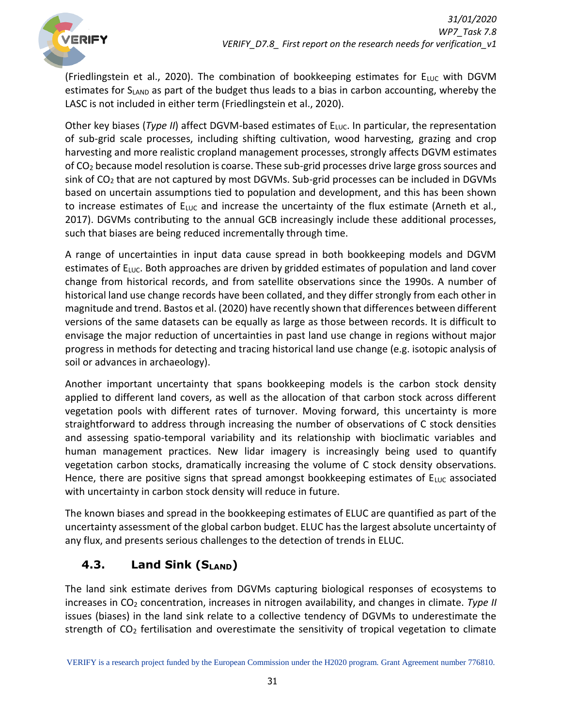

(Friedlingstein et al., 2020). The combination of bookkeeping estimates for  $E_{\text{LUC}}$  with DGVM estimates for SLAND as part of the budget thus leads to a bias in carbon accounting, whereby the LASC is not included in either term (Friedlingstein et al., 2020).

Other key biases (*Type II*) affect DGVM-based estimates of E<sub>LUC</sub>. In particular, the representation of sub-grid scale processes, including shifting cultivation, wood harvesting, grazing and crop harvesting and more realistic cropland management processes, strongly affects DGVM estimates of CO<sup>2</sup> because model resolution is coarse. These sub-grid processes drive large gross sources and sink of CO<sup>2</sup> that are not captured by most DGVMs. Sub-grid processes can be included in DGVMs based on uncertain assumptions tied to population and development, and this has been shown to increase estimates of  $E_{LUC}$  and increase the uncertainty of the flux estimate (Arneth et al., 2017). DGVMs contributing to the annual GCB increasingly include these additional processes, such that biases are being reduced incrementally through time.

A range of uncertainties in input data cause spread in both bookkeeping models and DGVM estimates of  $E_{\text{LUC}}$ . Both approaches are driven by gridded estimates of population and land cover change from historical records, and from satellite observations since the 1990s. A number of historical land use change records have been collated, and they differ strongly from each other in magnitude and trend. Bastos et al. (2020) have recently shown that differences between different versions of the same datasets can be equally as large as those between records. It is difficult to envisage the major reduction of uncertainties in past land use change in regions without major progress in methods for detecting and tracing historical land use change (e.g. isotopic analysis of soil or advances in archaeology).

Another important uncertainty that spans bookkeeping models is the carbon stock density applied to different land covers, as well as the allocation of that carbon stock across different vegetation pools with different rates of turnover. Moving forward, this uncertainty is more straightforward to address through increasing the number of observations of C stock densities and assessing spatio-temporal variability and its relationship with bioclimatic variables and human management practices. New lidar imagery is increasingly being used to quantify vegetation carbon stocks, dramatically increasing the volume of C stock density observations. Hence, there are positive signs that spread amongst bookkeeping estimates of  $E_{\text{LUC}}$  associated with uncertainty in carbon stock density will reduce in future.

The known biases and spread in the bookkeeping estimates of ELUC are quantified as part of the uncertainty assessment of the global carbon budget. ELUC has the largest absolute uncertainty of any flux, and presents serious challenges to the detection of trends in ELUC.

# <span id="page-30-0"></span>**4.3. Land Sink (SLAND)**

The land sink estimate derives from DGVMs capturing biological responses of ecosystems to increases in CO<sub>2</sub> concentration, increases in nitrogen availability, and changes in climate. *Type II* issues (biases) in the land sink relate to a collective tendency of DGVMs to underestimate the strength of CO<sub>2</sub> fertilisation and overestimate the sensitivity of tropical vegetation to climate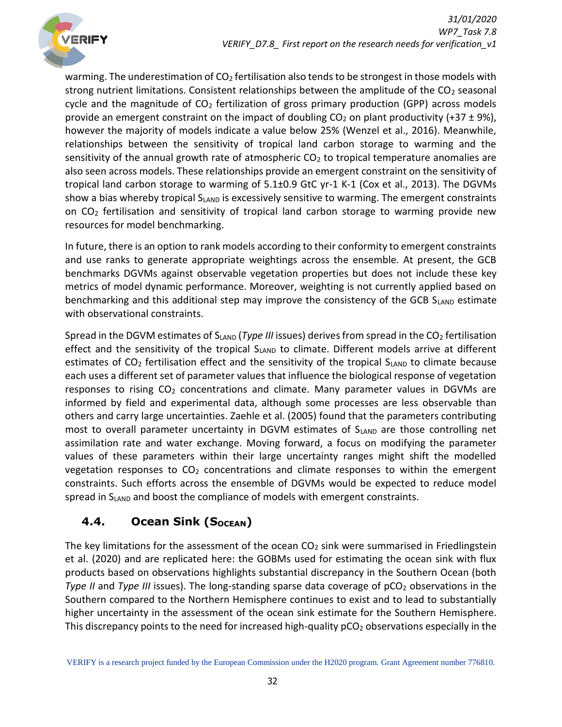

warming. The underestimation of  $CO<sub>2</sub>$  fertilisation also tends to be strongest in those models with strong nutrient limitations. Consistent relationships between the amplitude of the CO<sub>2</sub> seasonal cycle and the magnitude of  $CO<sub>2</sub>$  fertilization of gross primary production (GPP) across models provide an emergent constraint on the impact of doubling  $CO<sub>2</sub>$  on plant productivity (+37  $\pm$  9%), however the majority of models indicate a value below 25% (Wenzel et al., 2016). Meanwhile, relationships between the sensitivity of tropical land carbon storage to warming and the sensitivity of the annual growth rate of atmospheric  $CO<sub>2</sub>$  to tropical temperature anomalies are also seen across models. These relationships provide an emergent constraint on the sensitivity of tropical land carbon storage to warming of 5.1±0.9 GtC yr-1 K-1 (Cox et al., 2013). The DGVMs show a bias whereby tropical  $S_{LAND}$  is excessively sensitive to warming. The emergent constraints on  $CO<sub>2</sub>$  fertilisation and sensitivity of tropical land carbon storage to warming provide new resources for model benchmarking.

In future, there is an option to rank models according to their conformity to emergent constraints and use ranks to generate appropriate weightings across the ensemble. At present, the GCB benchmarks DGVMs against observable vegetation properties but does not include these key metrics of model dynamic performance. Moreover, weighting is not currently applied based on benchmarking and this additional step may improve the consistency of the GCB S<sub>LAND</sub> estimate with observational constraints.

Spread in the DGVM estimates of S<sub>LAND</sub> (*Type III* issues) derives from spread in the CO<sub>2</sub> fertilisation effect and the sensitivity of the tropical  $S<sub>LAND</sub>$  to climate. Different models arrive at different estimates of  $CO<sub>2</sub>$  fertilisation effect and the sensitivity of the tropical S<sub>LAND</sub> to climate because each uses a different set of parameter values that influence the biological response of vegetation responses to rising  $CO<sub>2</sub>$  concentrations and climate. Many parameter values in DGVMs are informed by field and experimental data, although some processes are less observable than others and carry large uncertainties. Zaehle et al. (2005) found that the parameters contributing most to overall parameter uncertainty in DGVM estimates of  $S_{LAND}$  are those controlling net assimilation rate and water exchange. Moving forward, a focus on modifying the parameter values of these parameters within their large uncertainty ranges might shift the modelled vegetation responses to  $CO<sub>2</sub>$  concentrations and climate responses to within the emergent constraints. Such efforts across the ensemble of DGVMs would be expected to reduce model spread in  $S_{LAND}$  and boost the compliance of models with emergent constraints.

# <span id="page-31-0"></span>**4.4. Ocean Sink (SOCEAN)**

The key limitations for the assessment of the ocean  $CO<sub>2</sub>$  sink were summarised in Friedlingstein et al. (2020) and are replicated here: the GOBMs used for estimating the ocean sink with flux products based on observations highlights substantial discrepancy in the Southern Ocean (both *Type II* and *Type III* issues). The long-standing sparse data coverage of pCO<sub>2</sub> observations in the Southern compared to the Northern Hemisphere continues to exist and to lead to substantially higher uncertainty in the assessment of the ocean sink estimate for the Southern Hemisphere. This discrepancy points to the need for increased high-quality  $pCO<sub>2</sub>$  observations especially in the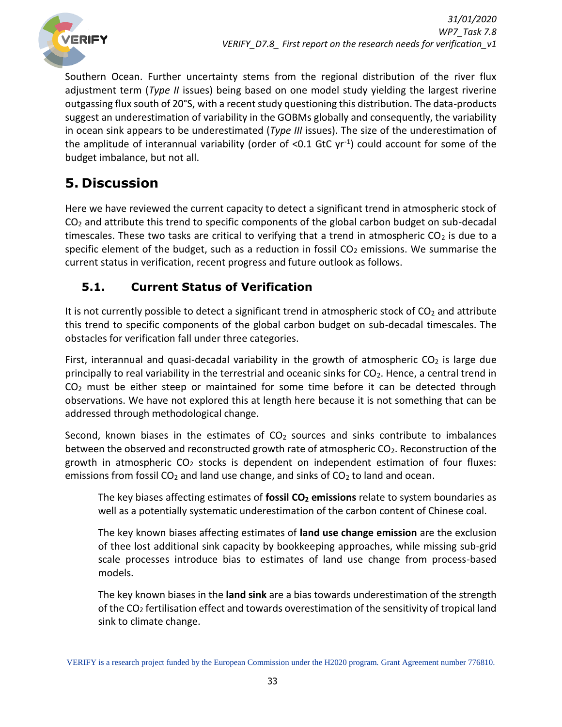

Southern Ocean. Further uncertainty stems from the regional distribution of the river flux adjustment term (*Type II* issues) being based on one model study yielding the largest riverine outgassing flux south of 20°S, with a recent study questioning this distribution. The data-products suggest an underestimation of variability in the GOBMs globally and consequently, the variability in ocean sink appears to be underestimated (*Type III* issues). The size of the underestimation of the amplitude of interannual variability (order of <0.1 GtC  $yr^{-1}$ ) could account for some of the budget imbalance, but not all.

# <span id="page-32-0"></span>**5. Discussion**

Here we have reviewed the current capacity to detect a significant trend in atmospheric stock of  $CO<sub>2</sub>$  and attribute this trend to specific components of the global carbon budget on sub-decadal timescales. These two tasks are critical to verifying that a trend in atmospheric  $CO<sub>2</sub>$  is due to a specific element of the budget, such as a reduction in fossil  $CO<sub>2</sub>$  emissions. We summarise the current status in verification, recent progress and future outlook as follows.

# <span id="page-32-1"></span>**5.1. Current Status of Verification**

It is not currently possible to detect a significant trend in atmospheric stock of  $CO<sub>2</sub>$  and attribute this trend to specific components of the global carbon budget on sub-decadal timescales. The obstacles for verification fall under three categories.

First, interannual and quasi-decadal variability in the growth of atmospheric  $CO<sub>2</sub>$  is large due principally to real variability in the terrestrial and oceanic sinks for CO<sub>2</sub>. Hence, a central trend in  $CO<sub>2</sub>$  must be either steep or maintained for some time before it can be detected through observations. We have not explored this at length here because it is not something that can be addressed through methodological change.

Second, known biases in the estimates of  $CO<sub>2</sub>$  sources and sinks contribute to imbalances between the observed and reconstructed growth rate of atmospheric CO<sub>2</sub>. Reconstruction of the growth in atmospheric  $CO<sub>2</sub>$  stocks is dependent on independent estimation of four fluxes: emissions from fossil  $CO<sub>2</sub>$  and land use change, and sinks of  $CO<sub>2</sub>$  to land and ocean.

The key biases affecting estimates of **fossil CO<sup>2</sup> emissions** relate to system boundaries as well as a potentially systematic underestimation of the carbon content of Chinese coal.

The key known biases affecting estimates of **land use change emission** are the exclusion of thee lost additional sink capacity by bookkeeping approaches, while missing sub-grid scale processes introduce bias to estimates of land use change from process-based models.

The key known biases in the **land sink** are a bias towards underestimation of the strength of the  $CO<sub>2</sub>$  fertilisation effect and towards overestimation of the sensitivity of tropical land sink to climate change.

VERIFY is a research project funded by the European Commission under the H2020 program. Grant Agreement number 776810.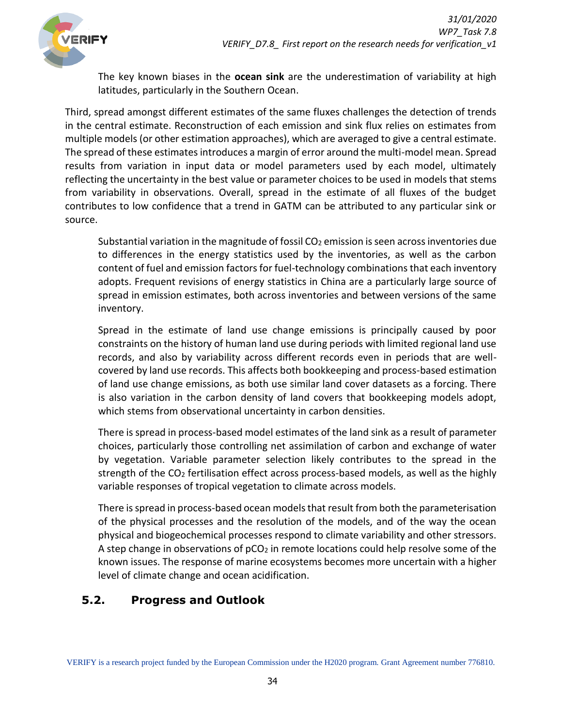The key known biases in the **ocean sink** are the underestimation of variability at high latitudes, particularly in the Southern Ocean.

Third, spread amongst different estimates of the same fluxes challenges the detection of trends in the central estimate. Reconstruction of each emission and sink flux relies on estimates from multiple models (or other estimation approaches), which are averaged to give a central estimate. The spread of these estimates introduces a margin of error around the multi-model mean. Spread results from variation in input data or model parameters used by each model, ultimately reflecting the uncertainty in the best value or parameter choices to be used in models that stems from variability in observations. Overall, spread in the estimate of all fluxes of the budget contributes to low confidence that a trend in GATM can be attributed to any particular sink or source.

Substantial variation in the magnitude of fossil  $CO<sub>2</sub>$  emission is seen across inventories due to differences in the energy statistics used by the inventories, as well as the carbon content of fuel and emission factors for fuel-technology combinations that each inventory adopts. Frequent revisions of energy statistics in China are a particularly large source of spread in emission estimates, both across inventories and between versions of the same inventory.

Spread in the estimate of land use change emissions is principally caused by poor constraints on the history of human land use during periods with limited regional land use records, and also by variability across different records even in periods that are wellcovered by land use records. This affects both bookkeeping and process-based estimation of land use change emissions, as both use similar land cover datasets as a forcing. There is also variation in the carbon density of land covers that bookkeeping models adopt, which stems from observational uncertainty in carbon densities.

There is spread in process-based model estimates of the land sink as a result of parameter choices, particularly those controlling net assimilation of carbon and exchange of water by vegetation. Variable parameter selection likely contributes to the spread in the strength of the CO<sub>2</sub> fertilisation effect across process-based models, as well as the highly variable responses of tropical vegetation to climate across models.

There is spread in process-based ocean models that result from both the parameterisation of the physical processes and the resolution of the models, and of the way the ocean physical and biogeochemical processes respond to climate variability and other stressors. A step change in observations of  $pCO<sub>2</sub>$  in remote locations could help resolve some of the known issues. The response of marine ecosystems becomes more uncertain with a higher level of climate change and ocean acidification.

# <span id="page-33-0"></span>**5.2. Progress and Outlook**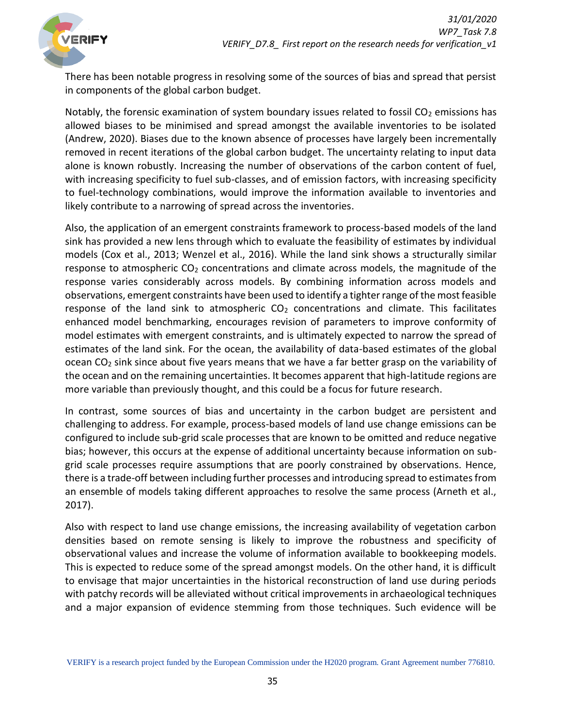

There has been notable progress in resolving some of the sources of bias and spread that persist in components of the global carbon budget.

Notably, the forensic examination of system boundary issues related to fossil  $CO<sub>2</sub>$  emissions has allowed biases to be minimised and spread amongst the available inventories to be isolated (Andrew, 2020). Biases due to the known absence of processes have largely been incrementally removed in recent iterations of the global carbon budget. The uncertainty relating to input data alone is known robustly. Increasing the number of observations of the carbon content of fuel, with increasing specificity to fuel sub-classes, and of emission factors, with increasing specificity to fuel-technology combinations, would improve the information available to inventories and likely contribute to a narrowing of spread across the inventories.

Also, the application of an emergent constraints framework to process-based models of the land sink has provided a new lens through which to evaluate the feasibility of estimates by individual models (Cox et al., 2013; Wenzel et al., 2016). While the land sink shows a structurally similar response to atmospheric  $CO<sub>2</sub>$  concentrations and climate across models, the magnitude of the response varies considerably across models. By combining information across models and observations, emergent constraints have been used to identify a tighter range of the most feasible response of the land sink to atmospheric  $CO<sub>2</sub>$  concentrations and climate. This facilitates enhanced model benchmarking, encourages revision of parameters to improve conformity of model estimates with emergent constraints, and is ultimately expected to narrow the spread of estimates of the land sink. For the ocean, the availability of data-based estimates of the global ocean CO<sub>2</sub> sink since about five years means that we have a far better grasp on the variability of the ocean and on the remaining uncertainties. It becomes apparent that high-latitude regions are more variable than previously thought, and this could be a focus for future research.

In contrast, some sources of bias and uncertainty in the carbon budget are persistent and challenging to address. For example, process-based models of land use change emissions can be configured to include sub-grid scale processes that are known to be omitted and reduce negative bias; however, this occurs at the expense of additional uncertainty because information on subgrid scale processes require assumptions that are poorly constrained by observations. Hence, there is a trade-off between including further processes and introducing spread to estimates from an ensemble of models taking different approaches to resolve the same process (Arneth et al., 2017).

Also with respect to land use change emissions, the increasing availability of vegetation carbon densities based on remote sensing is likely to improve the robustness and specificity of observational values and increase the volume of information available to bookkeeping models. This is expected to reduce some of the spread amongst models. On the other hand, it is difficult to envisage that major uncertainties in the historical reconstruction of land use during periods with patchy records will be alleviated without critical improvements in archaeological techniques and a major expansion of evidence stemming from those techniques. Such evidence will be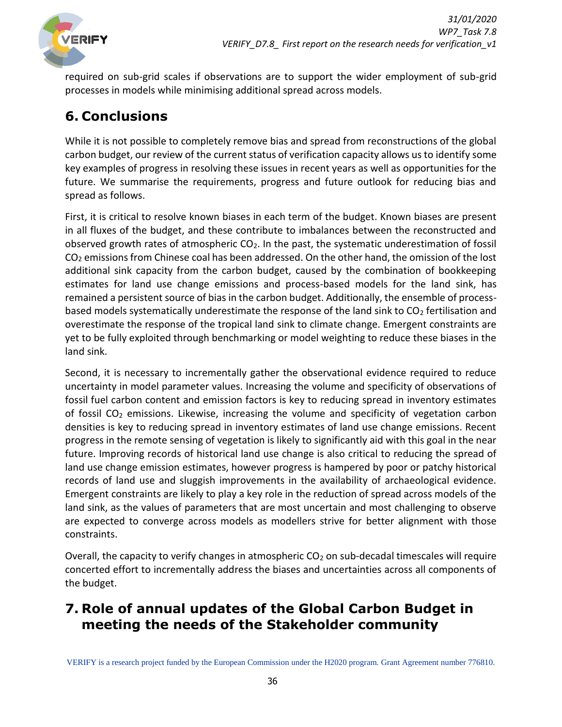

required on sub-grid scales if observations are to support the wider employment of sub-grid processes in models while minimising additional spread across models.

# <span id="page-35-0"></span>**6. Conclusions**

While it is not possible to completely remove bias and spread from reconstructions of the global carbon budget, our review of the current status of verification capacity allows us to identify some key examples of progress in resolving these issues in recent years as well as opportunities for the future. We summarise the requirements, progress and future outlook for reducing bias and spread as follows.

First, it is critical to resolve known biases in each term of the budget. Known biases are present in all fluxes of the budget, and these contribute to imbalances between the reconstructed and observed growth rates of atmospheric  $CO<sub>2</sub>$ . In the past, the systematic underestimation of fossil CO<sub>2</sub> emissions from Chinese coal has been addressed. On the other hand, the omission of the lost additional sink capacity from the carbon budget, caused by the combination of bookkeeping estimates for land use change emissions and process-based models for the land sink, has remained a persistent source of bias in the carbon budget. Additionally, the ensemble of processbased models systematically underestimate the response of the land sink to  $CO<sub>2</sub>$  fertilisation and overestimate the response of the tropical land sink to climate change. Emergent constraints are yet to be fully exploited through benchmarking or model weighting to reduce these biases in the land sink.

Second, it is necessary to incrementally gather the observational evidence required to reduce uncertainty in model parameter values. Increasing the volume and specificity of observations of fossil fuel carbon content and emission factors is key to reducing spread in inventory estimates of fossil CO<sub>2</sub> emissions. Likewise, increasing the volume and specificity of vegetation carbon densities is key to reducing spread in inventory estimates of land use change emissions. Recent progress in the remote sensing of vegetation is likely to significantly aid with this goal in the near future. Improving records of historical land use change is also critical to reducing the spread of land use change emission estimates, however progress is hampered by poor or patchy historical records of land use and sluggish improvements in the availability of archaeological evidence. Emergent constraints are likely to play a key role in the reduction of spread across models of the land sink, as the values of parameters that are most uncertain and most challenging to observe are expected to converge across models as modellers strive for better alignment with those constraints.

Overall, the capacity to verify changes in atmospheric  $CO<sub>2</sub>$  on sub-decadal timescales will require concerted effort to incrementally address the biases and uncertainties across all components of the budget.

# <span id="page-35-1"></span>**7. Role of annual updates of the Global Carbon Budget in meeting the needs of the Stakeholder community**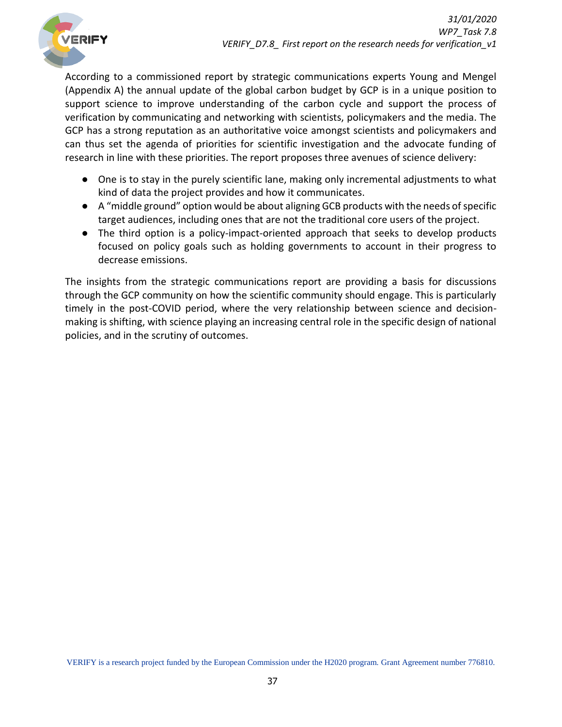

According to a commissioned report by strategic communications experts Young and Mengel (Appendix A) the annual update of the global carbon budget by GCP is in a unique position to support science to improve understanding of the carbon cycle and support the process of verification by communicating and networking with scientists, policymakers and the media. The GCP has a strong reputation as an authoritative voice amongst scientists and policymakers and can thus set the agenda of priorities for scientific investigation and the advocate funding of research in line with these priorities. The report proposes three avenues of science delivery:

- One is to stay in the purely scientific lane, making only incremental adjustments to what kind of data the project provides and how it communicates.
- A "middle ground" option would be about aligning GCB products with the needs of specific target audiences, including ones that are not the traditional core users of the project.
- The third option is a policy-impact-oriented approach that seeks to develop products focused on policy goals such as holding governments to account in their progress to decrease emissions.

The insights from the strategic communications report are providing a basis for discussions through the GCP community on how the scientific community should engage. This is particularly timely in the post-COVID period, where the very relationship between science and decisionmaking is shifting, with science playing an increasing central role in the specific design of national policies, and in the scrutiny of outcomes.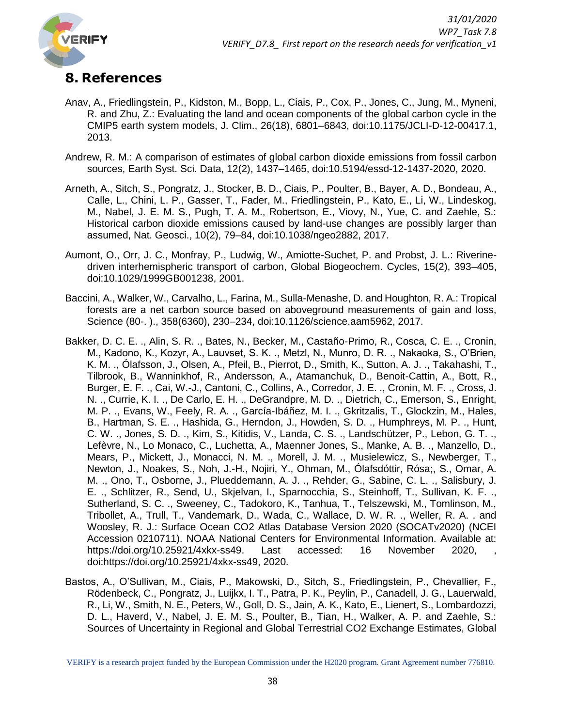

# <span id="page-37-0"></span>**8. References**

- Anav, A., Friedlingstein, P., Kidston, M., Bopp, L., Ciais, P., Cox, P., Jones, C., Jung, M., Myneni, R. and Zhu, Z.: Evaluating the land and ocean components of the global carbon cycle in the CMIP5 earth system models, J. Clim., 26(18), 6801–6843, doi:10.1175/JCLI-D-12-00417.1, 2013.
- Andrew, R. M.: A comparison of estimates of global carbon dioxide emissions from fossil carbon sources, Earth Syst. Sci. Data, 12(2), 1437–1465, doi:10.5194/essd-12-1437-2020, 2020.
- Arneth, A., Sitch, S., Pongratz, J., Stocker, B. D., Ciais, P., Poulter, B., Bayer, A. D., Bondeau, A., Calle, L., Chini, L. P., Gasser, T., Fader, M., Friedlingstein, P., Kato, E., Li, W., Lindeskog, M., Nabel, J. E. M. S., Pugh, T. A. M., Robertson, E., Viovy, N., Yue, C. and Zaehle, S.: Historical carbon dioxide emissions caused by land-use changes are possibly larger than assumed, Nat. Geosci., 10(2), 79–84, doi:10.1038/ngeo2882, 2017.
- Aumont, O., Orr, J. C., Monfray, P., Ludwig, W., Amiotte-Suchet, P. and Probst, J. L.: Riverinedriven interhemispheric transport of carbon, Global Biogeochem. Cycles, 15(2), 393–405, doi:10.1029/1999GB001238, 2001.
- Baccini, A., Walker, W., Carvalho, L., Farina, M., Sulla-Menashe, D. and Houghton, R. A.: Tropical forests are a net carbon source based on aboveground measurements of gain and loss, Science (80-. )., 358(6360), 230–234, doi:10.1126/science.aam5962, 2017.
- Bakker, D. C. E. ., Alin, S. R. ., Bates, N., Becker, M., Castaño-Primo, R., Cosca, C. E. ., Cronin, M., Kadono, K., Kozyr, A., Lauvset, S. K. ., Metzl, N., Munro, D. R. ., Nakaoka, S., O'Brien, K. M. ., Ólafsson, J., Olsen, A., Pfeil, B., Pierrot, D., Smith, K., Sutton, A. J. ., Takahashi, T., Tilbrook, B., Wanninkhof, R., Andersson, A., Atamanchuk, D., Benoit-Cattin, A., Bott, R., Burger, E. F. ., Cai, W.-J., Cantoni, C., Collins, A., Corredor, J. E. ., Cronin, M. F. ., Cross, J. N. ., Currie, K. I. ., De Carlo, E. H. ., DeGrandpre, M. D. ., Dietrich, C., Emerson, S., Enright, M. P. ., Evans, W., Feely, R. A. ., García-Ibáñez, M. I. ., Gkritzalis, T., Glockzin, M., Hales, B., Hartman, S. E. ., Hashida, G., Herndon, J., Howden, S. D. ., Humphreys, M. P. ., Hunt, C. W. ., Jones, S. D. ., Kim, S., Kitidis, V., Landa, C. S. ., Landschützer, P., Lebon, G. T. ., Lefèvre, N., Lo Monaco, C., Luchetta, A., Maenner Jones, S., Manke, A. B. ., Manzello, D., Mears, P., Mickett, J., Monacci, N. M. ., Morell, J. M. ., Musielewicz, S., Newberger, T., Newton, J., Noakes, S., Noh, J.-H., Nojiri, Y., Ohman, M., Ólafsdóttir, Rósa;, S., Omar, A. M. ., Ono, T., Osborne, J., Plueddemann, A. J. ., Rehder, G., Sabine, C. L. ., Salisbury, J. E. ., Schlitzer, R., Send, U., Skjelvan, I., Sparnocchia, S., Steinhoff, T., Sullivan, K. F. ., Sutherland, S. C. ., Sweeney, C., Tadokoro, K., Tanhua, T., Telszewski, M., Tomlinson, M., Tribollet, A., Trull, T., Vandemark, D., Wada, C., Wallace, D. W. R. ., Weller, R. A. . and Woosley, R. J.: Surface Ocean CO2 Atlas Database Version 2020 (SOCATv2020) (NCEI Accession 0210711). NOAA National Centers for Environmental Information. Available at: https://doi.org/10.25921/4xkx-ss49. Last accessed: 16 November 2020, doi:https://doi.org/10.25921/4xkx-ss49, 2020.
- Bastos, A., O'Sullivan, M., Ciais, P., Makowski, D., Sitch, S., Friedlingstein, P., Chevallier, F., Rödenbeck, C., Pongratz, J., Luijkx, I. T., Patra, P. K., Peylin, P., Canadell, J. G., Lauerwald, R., Li, W., Smith, N. E., Peters, W., Goll, D. S., Jain, A. K., Kato, E., Lienert, S., Lombardozzi, D. L., Haverd, V., Nabel, J. E. M. S., Poulter, B., Tian, H., Walker, A. P. and Zaehle, S.: Sources of Uncertainty in Regional and Global Terrestrial CO2 Exchange Estimates, Global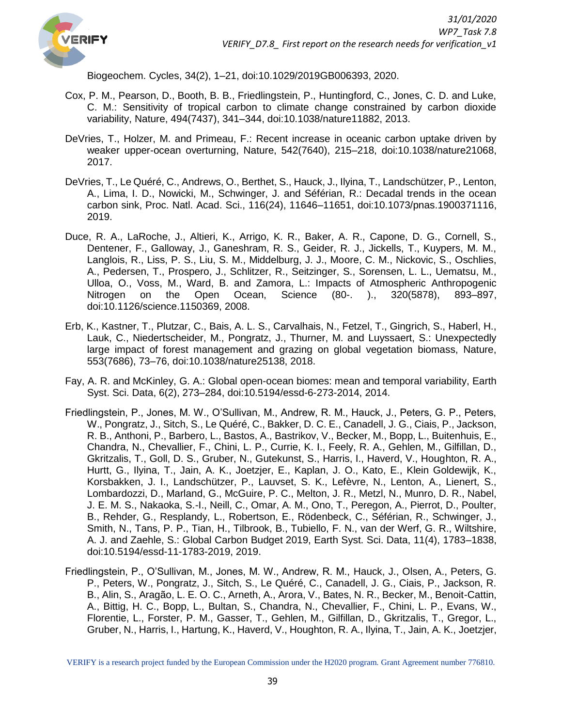

Biogeochem. Cycles, 34(2), 1–21, doi:10.1029/2019GB006393, 2020.

- Cox, P. M., Pearson, D., Booth, B. B., Friedlingstein, P., Huntingford, C., Jones, C. D. and Luke, C. M.: Sensitivity of tropical carbon to climate change constrained by carbon dioxide variability, Nature, 494(7437), 341–344, doi:10.1038/nature11882, 2013.
- DeVries, T., Holzer, M. and Primeau, F.: Recent increase in oceanic carbon uptake driven by weaker upper-ocean overturning, Nature, 542(7640), 215–218, doi:10.1038/nature21068, 2017.
- DeVries, T., Le Quéré, C., Andrews, O., Berthet, S., Hauck, J., Ilyina, T., Landschützer, P., Lenton, A., Lima, I. D., Nowicki, M., Schwinger, J. and Séférian, R.: Decadal trends in the ocean carbon sink, Proc. Natl. Acad. Sci., 116(24), 11646–11651, doi:10.1073/pnas.1900371116, 2019.
- Duce, R. A., LaRoche, J., Altieri, K., Arrigo, K. R., Baker, A. R., Capone, D. G., Cornell, S., Dentener, F., Galloway, J., Ganeshram, R. S., Geider, R. J., Jickells, T., Kuypers, M. M., Langlois, R., Liss, P. S., Liu, S. M., Middelburg, J. J., Moore, C. M., Nickovic, S., Oschlies, A., Pedersen, T., Prospero, J., Schlitzer, R., Seitzinger, S., Sorensen, L. L., Uematsu, M., Ulloa, O., Voss, M., Ward, B. and Zamora, L.: Impacts of Atmospheric Anthropogenic Nitrogen on the Open Ocean, Science (80-. )., 320(5878), 893–897, doi:10.1126/science.1150369, 2008.
- Erb, K., Kastner, T., Plutzar, C., Bais, A. L. S., Carvalhais, N., Fetzel, T., Gingrich, S., Haberl, H., Lauk, C., Niedertscheider, M., Pongratz, J., Thurner, M. and Luyssaert, S.: Unexpectedly large impact of forest management and grazing on global vegetation biomass, Nature, 553(7686), 73–76, doi:10.1038/nature25138, 2018.
- Fay, A. R. and McKinley, G. A.: Global open-ocean biomes: mean and temporal variability, Earth Syst. Sci. Data, 6(2), 273–284, doi:10.5194/essd-6-273-2014, 2014.
- Friedlingstein, P., Jones, M. W., O'Sullivan, M., Andrew, R. M., Hauck, J., Peters, G. P., Peters, W., Pongratz, J., Sitch, S., Le Quéré, C., Bakker, D. C. E., Canadell, J. G., Ciais, P., Jackson, R. B., Anthoni, P., Barbero, L., Bastos, A., Bastrikov, V., Becker, M., Bopp, L., Buitenhuis, E., Chandra, N., Chevallier, F., Chini, L. P., Currie, K. I., Feely, R. A., Gehlen, M., Gilfillan, D., Gkritzalis, T., Goll, D. S., Gruber, N., Gutekunst, S., Harris, I., Haverd, V., Houghton, R. A., Hurtt, G., Ilyina, T., Jain, A. K., Joetzjer, E., Kaplan, J. O., Kato, E., Klein Goldewijk, K., Korsbakken, J. I., Landschützer, P., Lauvset, S. K., Lefèvre, N., Lenton, A., Lienert, S., Lombardozzi, D., Marland, G., McGuire, P. C., Melton, J. R., Metzl, N., Munro, D. R., Nabel, J. E. M. S., Nakaoka, S.-I., Neill, C., Omar, A. M., Ono, T., Peregon, A., Pierrot, D., Poulter, B., Rehder, G., Resplandy, L., Robertson, E., Rödenbeck, C., Séférian, R., Schwinger, J., Smith, N., Tans, P. P., Tian, H., Tilbrook, B., Tubiello, F. N., van der Werf, G. R., Wiltshire, A. J. and Zaehle, S.: Global Carbon Budget 2019, Earth Syst. Sci. Data, 11(4), 1783–1838, doi:10.5194/essd-11-1783-2019, 2019.
- Friedlingstein, P., O'Sullivan, M., Jones, M. W., Andrew, R. M., Hauck, J., Olsen, A., Peters, G. P., Peters, W., Pongratz, J., Sitch, S., Le Quéré, C., Canadell, J. G., Ciais, P., Jackson, R. B., Alin, S., Aragão, L. E. O. C., Arneth, A., Arora, V., Bates, N. R., Becker, M., Benoit-Cattin, A., Bittig, H. C., Bopp, L., Bultan, S., Chandra, N., Chevallier, F., Chini, L. P., Evans, W., Florentie, L., Forster, P. M., Gasser, T., Gehlen, M., Gilfillan, D., Gkritzalis, T., Gregor, L., Gruber, N., Harris, I., Hartung, K., Haverd, V., Houghton, R. A., Ilyina, T., Jain, A. K., Joetzjer,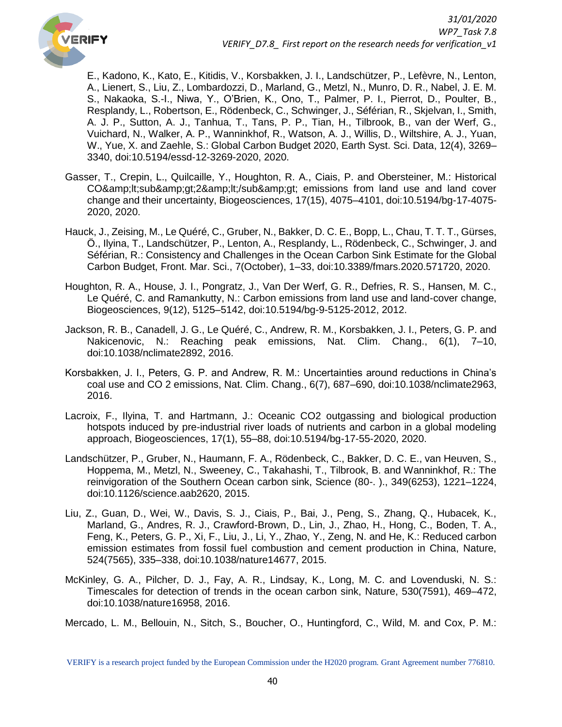

E., Kadono, K., Kato, E., Kitidis, V., Korsbakken, J. I., Landschützer, P., Lefèvre, N., Lenton, A., Lienert, S., Liu, Z., Lombardozzi, D., Marland, G., Metzl, N., Munro, D. R., Nabel, J. E. M. S., Nakaoka, S.-I., Niwa, Y., O'Brien, K., Ono, T., Palmer, P. I., Pierrot, D., Poulter, B., Resplandy, L., Robertson, E., Rödenbeck, C., Schwinger, J., Séférian, R., Skjelvan, I., Smith, A. J. P., Sutton, A. J., Tanhua, T., Tans, P. P., Tian, H., Tilbrook, B., van der Werf, G., Vuichard, N., Walker, A. P., Wanninkhof, R., Watson, A. J., Willis, D., Wiltshire, A. J., Yuan, W., Yue, X. and Zaehle, S.: Global Carbon Budget 2020, Earth Syst. Sci. Data, 12(4), 3269– 3340, doi:10.5194/essd-12-3269-2020, 2020.

- Gasser, T., Crepin, L., Quilcaille, Y., Houghton, R. A., Ciais, P. and Obersteiner, M.: Historical CO&amp:lt:sub&amp:gt:2&amp:lt:/sub&amp:gt: emissions from land use and land cover change and their uncertainty, Biogeosciences, 17(15), 4075–4101, doi:10.5194/bg-17-4075- 2020, 2020.
- Hauck, J., Zeising, M., Le Quéré, C., Gruber, N., Bakker, D. C. E., Bopp, L., Chau, T. T. T., Gürses, Ö., Ilyina, T., Landschützer, P., Lenton, A., Resplandy, L., Rödenbeck, C., Schwinger, J. and Séférian, R.: Consistency and Challenges in the Ocean Carbon Sink Estimate for the Global Carbon Budget, Front. Mar. Sci., 7(October), 1–33, doi:10.3389/fmars.2020.571720, 2020.
- Houghton, R. A., House, J. I., Pongratz, J., Van Der Werf, G. R., Defries, R. S., Hansen, M. C., Le Quéré, C. and Ramankutty, N.: Carbon emissions from land use and land-cover change, Biogeosciences, 9(12), 5125–5142, doi:10.5194/bg-9-5125-2012, 2012.
- Jackson, R. B., Canadell, J. G., Le Quéré, C., Andrew, R. M., Korsbakken, J. I., Peters, G. P. and Nakicenovic, N.: Reaching peak emissions, Nat. Clim. Chang., 6(1), 7–10, doi:10.1038/nclimate2892, 2016.
- Korsbakken, J. I., Peters, G. P. and Andrew, R. M.: Uncertainties around reductions in China's coal use and CO 2 emissions, Nat. Clim. Chang., 6(7), 687–690, doi:10.1038/nclimate2963, 2016.
- Lacroix, F., Ilyina, T. and Hartmann, J.: Oceanic CO2 outgassing and biological production hotspots induced by pre-industrial river loads of nutrients and carbon in a global modeling approach, Biogeosciences, 17(1), 55–88, doi:10.5194/bg-17-55-2020, 2020.
- Landschützer, P., Gruber, N., Haumann, F. A., Rödenbeck, C., Bakker, D. C. E., van Heuven, S., Hoppema, M., Metzl, N., Sweeney, C., Takahashi, T., Tilbrook, B. and Wanninkhof, R.: The reinvigoration of the Southern Ocean carbon sink, Science (80-. )., 349(6253), 1221–1224, doi:10.1126/science.aab2620, 2015.
- Liu, Z., Guan, D., Wei, W., Davis, S. J., Ciais, P., Bai, J., Peng, S., Zhang, Q., Hubacek, K., Marland, G., Andres, R. J., Crawford-Brown, D., Lin, J., Zhao, H., Hong, C., Boden, T. A., Feng, K., Peters, G. P., Xi, F., Liu, J., Li, Y., Zhao, Y., Zeng, N. and He, K.: Reduced carbon emission estimates from fossil fuel combustion and cement production in China, Nature, 524(7565), 335–338, doi:10.1038/nature14677, 2015.
- McKinley, G. A., Pilcher, D. J., Fay, A. R., Lindsay, K., Long, M. C. and Lovenduski, N. S.: Timescales for detection of trends in the ocean carbon sink, Nature, 530(7591), 469–472, doi:10.1038/nature16958, 2016.

Mercado, L. M., Bellouin, N., Sitch, S., Boucher, O., Huntingford, C., Wild, M. and Cox, P. M.:

VERIFY is a research project funded by the European Commission under the H2020 program. Grant Agreement number 776810.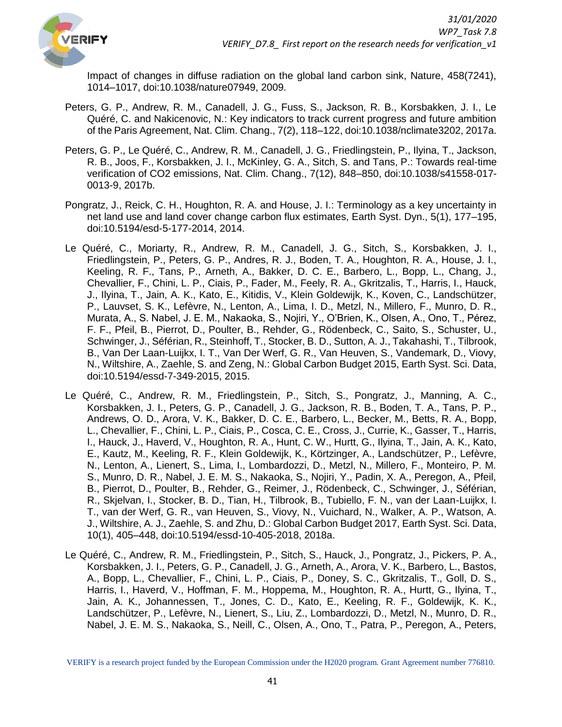

Impact of changes in diffuse radiation on the global land carbon sink, Nature, 458(7241), 1014–1017, doi:10.1038/nature07949, 2009.

- Peters, G. P., Andrew, R. M., Canadell, J. G., Fuss, S., Jackson, R. B., Korsbakken, J. I., Le Quéré, C. and Nakicenovic, N.: Key indicators to track current progress and future ambition of the Paris Agreement, Nat. Clim. Chang., 7(2), 118–122, doi:10.1038/nclimate3202, 2017a.
- Peters, G. P., Le Quéré, C., Andrew, R. M., Canadell, J. G., Friedlingstein, P., Ilyina, T., Jackson, R. B., Joos, F., Korsbakken, J. I., McKinley, G. A., Sitch, S. and Tans, P.: Towards real-time verification of CO2 emissions, Nat. Clim. Chang., 7(12), 848–850, doi:10.1038/s41558-017- 0013-9, 2017b.
- Pongratz, J., Reick, C. H., Houghton, R. A. and House, J. I.: Terminology as a key uncertainty in net land use and land cover change carbon flux estimates, Earth Syst. Dyn., 5(1), 177–195, doi:10.5194/esd-5-177-2014, 2014.
- Le Quéré, C., Moriarty, R., Andrew, R. M., Canadell, J. G., Sitch, S., Korsbakken, J. I., Friedlingstein, P., Peters, G. P., Andres, R. J., Boden, T. A., Houghton, R. A., House, J. I., Keeling, R. F., Tans, P., Arneth, A., Bakker, D. C. E., Barbero, L., Bopp, L., Chang, J., Chevallier, F., Chini, L. P., Ciais, P., Fader, M., Feely, R. A., Gkritzalis, T., Harris, I., Hauck, J., Ilyina, T., Jain, A. K., Kato, E., Kitidis, V., Klein Goldewijk, K., Koven, C., Landschützer, P., Lauvset, S. K., Lefèvre, N., Lenton, A., Lima, I. D., Metzl, N., Millero, F., Munro, D. R., Murata, A., S. Nabel, J. E. M., Nakaoka, S., Nojiri, Y., O'Brien, K., Olsen, A., Ono, T., Pérez, F. F., Pfeil, B., Pierrot, D., Poulter, B., Rehder, G., Rödenbeck, C., Saito, S., Schuster, U., Schwinger, J., Séférian, R., Steinhoff, T., Stocker, B. D., Sutton, A. J., Takahashi, T., Tilbrook, B., Van Der Laan-Luijkx, I. T., Van Der Werf, G. R., Van Heuven, S., Vandemark, D., Viovy, N., Wiltshire, A., Zaehle, S. and Zeng, N.: Global Carbon Budget 2015, Earth Syst. Sci. Data, doi:10.5194/essd-7-349-2015, 2015.
- Le Quéré, C., Andrew, R. M., Friedlingstein, P., Sitch, S., Pongratz, J., Manning, A. C., Korsbakken, J. I., Peters, G. P., Canadell, J. G., Jackson, R. B., Boden, T. A., Tans, P. P., Andrews, O. D., Arora, V. K., Bakker, D. C. E., Barbero, L., Becker, M., Betts, R. A., Bopp, L., Chevallier, F., Chini, L. P., Ciais, P., Cosca, C. E., Cross, J., Currie, K., Gasser, T., Harris, I., Hauck, J., Haverd, V., Houghton, R. A., Hunt, C. W., Hurtt, G., Ilyina, T., Jain, A. K., Kato, E., Kautz, M., Keeling, R. F., Klein Goldewijk, K., Körtzinger, A., Landschützer, P., Lefèvre, N., Lenton, A., Lienert, S., Lima, I., Lombardozzi, D., Metzl, N., Millero, F., Monteiro, P. M. S., Munro, D. R., Nabel, J. E. M. S., Nakaoka, S., Nojiri, Y., Padin, X. A., Peregon, A., Pfeil, B., Pierrot, D., Poulter, B., Rehder, G., Reimer, J., Rödenbeck, C., Schwinger, J., Séférian, R., Skjelvan, I., Stocker, B. D., Tian, H., Tilbrook, B., Tubiello, F. N., van der Laan-Luijkx, I. T., van der Werf, G. R., van Heuven, S., Viovy, N., Vuichard, N., Walker, A. P., Watson, A. J., Wiltshire, A. J., Zaehle, S. and Zhu, D.: Global Carbon Budget 2017, Earth Syst. Sci. Data, 10(1), 405–448, doi:10.5194/essd-10-405-2018, 2018a.
- Le Quéré, C., Andrew, R. M., Friedlingstein, P., Sitch, S., Hauck, J., Pongratz, J., Pickers, P. A., Korsbakken, J. I., Peters, G. P., Canadell, J. G., Arneth, A., Arora, V. K., Barbero, L., Bastos, A., Bopp, L., Chevallier, F., Chini, L. P., Ciais, P., Doney, S. C., Gkritzalis, T., Goll, D. S., Harris, I., Haverd, V., Hoffman, F. M., Hoppema, M., Houghton, R. A., Hurtt, G., Ilyina, T., Jain, A. K., Johannessen, T., Jones, C. D., Kato, E., Keeling, R. F., Goldewijk, K. K., Landschützer, P., Lefèvre, N., Lienert, S., Liu, Z., Lombardozzi, D., Metzl, N., Munro, D. R., Nabel, J. E. M. S., Nakaoka, S., Neill, C., Olsen, A., Ono, T., Patra, P., Peregon, A., Peters,

VERIFY is a research project funded by the European Commission under the H2020 program. Grant Agreement number 776810.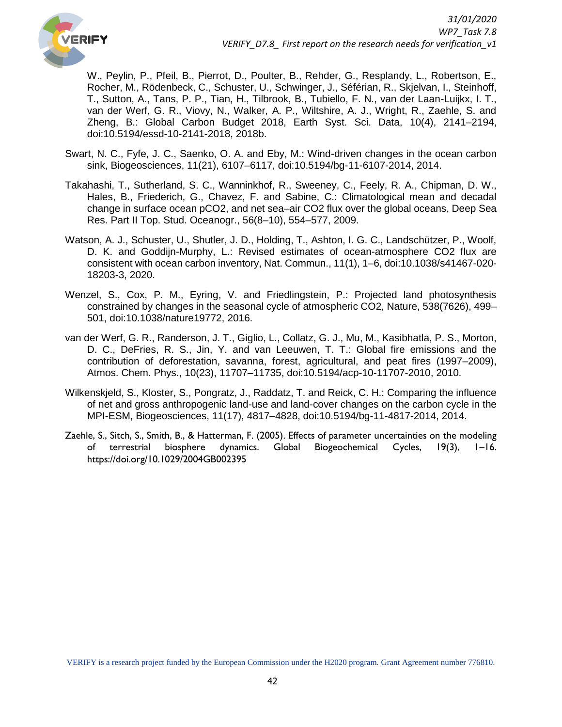

W., Peylin, P., Pfeil, B., Pierrot, D., Poulter, B., Rehder, G., Resplandy, L., Robertson, E., Rocher, M., Rödenbeck, C., Schuster, U., Schwinger, J., Séférian, R., Skjelvan, I., Steinhoff, T., Sutton, A., Tans, P. P., Tian, H., Tilbrook, B., Tubiello, F. N., van der Laan-Luijkx, I. T., van der Werf, G. R., Viovy, N., Walker, A. P., Wiltshire, A. J., Wright, R., Zaehle, S. and Zheng, B.: Global Carbon Budget 2018, Earth Syst. Sci. Data, 10(4), 2141–2194, doi:10.5194/essd-10-2141-2018, 2018b.

- Swart, N. C., Fyfe, J. C., Saenko, O. A. and Eby, M.: Wind-driven changes in the ocean carbon sink, Biogeosciences, 11(21), 6107–6117, doi:10.5194/bg-11-6107-2014, 2014.
- Takahashi, T., Sutherland, S. C., Wanninkhof, R., Sweeney, C., Feely, R. A., Chipman, D. W., Hales, B., Friederich, G., Chavez, F. and Sabine, C.: Climatological mean and decadal change in surface ocean pCO2, and net sea–air CO2 flux over the global oceans, Deep Sea Res. Part II Top. Stud. Oceanogr., 56(8–10), 554–577, 2009.
- Watson, A. J., Schuster, U., Shutler, J. D., Holding, T., Ashton, I. G. C., Landschützer, P., Woolf, D. K. and Goddijn-Murphy, L.: Revised estimates of ocean-atmosphere CO2 flux are consistent with ocean carbon inventory, Nat. Commun., 11(1), 1–6, doi:10.1038/s41467-020- 18203-3, 2020.
- Wenzel, S., Cox, P. M., Eyring, V. and Friedlingstein, P.: Projected land photosynthesis constrained by changes in the seasonal cycle of atmospheric CO2, Nature, 538(7626), 499– 501, doi:10.1038/nature19772, 2016.
- van der Werf, G. R., Randerson, J. T., Giglio, L., Collatz, G. J., Mu, M., Kasibhatla, P. S., Morton, D. C., DeFries, R. S., Jin, Y. and van Leeuwen, T. T.: Global fire emissions and the contribution of deforestation, savanna, forest, agricultural, and peat fires (1997–2009), Atmos. Chem. Phys., 10(23), 11707–11735, doi:10.5194/acp-10-11707-2010, 2010.
- Wilkenskjeld, S., Kloster, S., Pongratz, J., Raddatz, T. and Reick, C. H.: Comparing the influence of net and gross anthropogenic land-use and land-cover changes on the carbon cycle in the MPI-ESM, Biogeosciences, 11(17), 4817–4828, doi:10.5194/bg-11-4817-2014, 2014.
- Zaehle, S., Sitch, S., Smith, B., & Hatterman, F. (2005). Effects of parameter uncertainties on the modeling of terrestrial biosphere dynamics. Global Biogeochemical Cycles, 19(3), 1–16. https://doi.org/10.1029/2004GB002395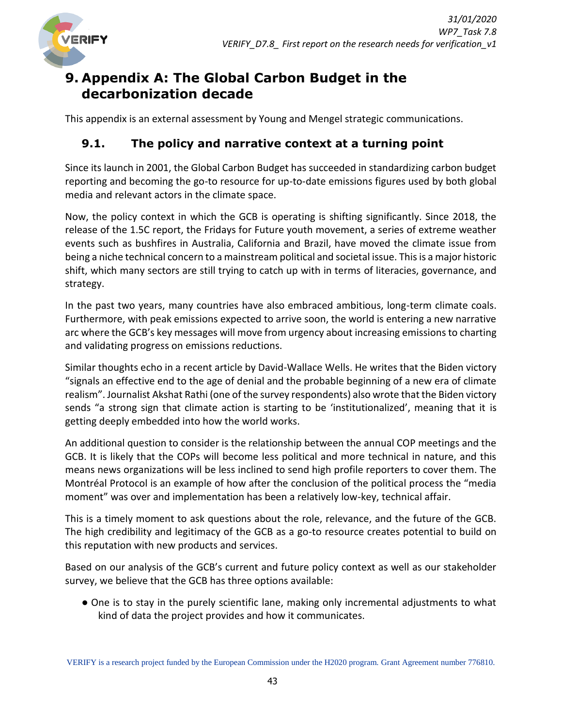

# <span id="page-42-0"></span>**9. Appendix A: The Global Carbon Budget in the decarbonization decade**

This appendix is an external assessment by Young and Mengel strategic communications.

# <span id="page-42-1"></span>**9.1. The policy and narrative context at a turning point**

Since its launch in 2001, the Global Carbon Budget has succeeded in standardizing carbon budget reporting and becoming the go-to resource for up-to-date emissions figures used by both global media and relevant actors in the climate space.

Now, the policy context in which the GCB is operating is shifting significantly. Since 2018, the release of the 1.5C report, the Fridays for Future youth movement, a series of extreme weather events such as bushfires in Australia, California and Brazil, have moved the climate issue from being a niche technical concern to a mainstream political and societal issue. This is a major historic shift, which many sectors are still trying to catch up with in terms of literacies, governance, and strategy.

In the past two years, many countries have also embraced ambitious, long-term climate coals. Furthermore, with peak emissions expected to arrive soon, the world is entering a new narrative arc where the GCB's key messages will move from urgency about increasing emissions to charting and validating progress on emissions reductions.

Similar thoughts echo in a recent article by David-Wallace Wells. He writes that the Biden victory "signals an effective end to the age of denial and the probable beginning of a new era of climate realism". Journalist Akshat Rathi (one of the survey respondents) also wrote that the Biden victory sends "a strong sign that climate action is starting to be 'institutionalized', meaning that it is getting deeply embedded into how the world works.

An additional question to consider is the relationship between the annual COP meetings and the GCB. It is likely that the COPs will become less political and more technical in nature, and this means news organizations will be less inclined to send high profile reporters to cover them. The Montréal Protocol is an example of how after the conclusion of the political process the "media moment" was over and implementation has been a relatively low-key, technical affair.

This is a timely moment to ask questions about the role, relevance, and the future of the GCB. The high credibility and legitimacy of the GCB as a go-to resource creates potential to build on this reputation with new products and services.

Based on our analysis of the GCB's current and future policy context as well as our stakeholder survey, we believe that the GCB has three options available:

● One is to stay in the purely scientific lane, making only incremental adjustments to what kind of data the project provides and how it communicates.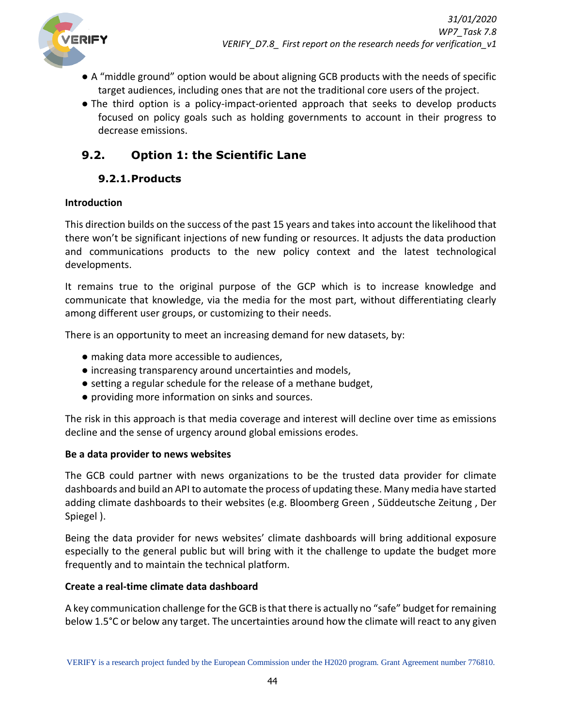

- A "middle ground" option would be about aligning GCB products with the needs of specific target audiences, including ones that are not the traditional core users of the project.
- The third option is a policy-impact-oriented approach that seeks to develop products focused on policy goals such as holding governments to account in their progress to decrease emissions.

# <span id="page-43-0"></span>**9.2. Option 1: the Scientific Lane**

# **9.2.1.Products**

### <span id="page-43-1"></span>**Introduction**

This direction builds on the success of the past 15 years and takes into account the likelihood that there won't be significant injections of new funding or resources. It adjusts the data production and communications products to the new policy context and the latest technological developments.

It remains true to the original purpose of the GCP which is to increase knowledge and communicate that knowledge, via the media for the most part, without differentiating clearly among different user groups, or customizing to their needs.

There is an opportunity to meet an increasing demand for new datasets, by:

- making data more accessible to audiences,
- increasing transparency around uncertainties and models,
- setting a regular schedule for the release of a methane budget,
- providing more information on sinks and sources.

The risk in this approach is that media coverage and interest will decline over time as emissions decline and the sense of urgency around global emissions erodes.

#### **Be a data provider to news websites**

The GCB could partner with news organizations to be the trusted data provider for climate dashboards and build an API to automate the process of updating these. Many media have started adding climate dashboards to their websites (e.g. Bloomberg Green , Süddeutsche Zeitung , Der Spiegel ).

Being the data provider for news websites' climate dashboards will bring additional exposure especially to the general public but will bring with it the challenge to update the budget more frequently and to maintain the technical platform.

#### **Create a real-time climate data dashboard**

A key communication challenge for the GCB is that there is actually no "safe" budget for remaining below 1.5°C or below any target. The uncertainties around how the climate will react to any given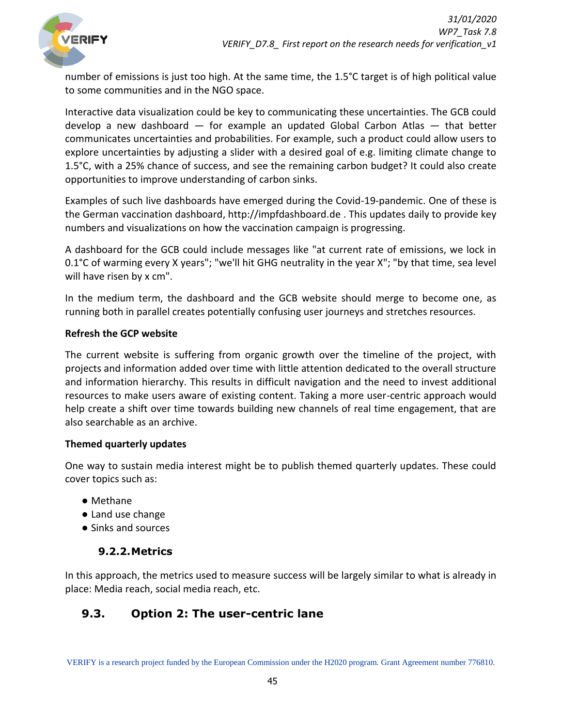

number of emissions is just too high. At the same time, the 1.5°C target is of high political value to some communities and in the NGO space.

Interactive data visualization could be key to communicating these uncertainties. The GCB could develop a new dashboard — for example an updated Global Carbon Atlas — that better communicates uncertainties and probabilities. For example, such a product could allow users to explore uncertainties by adjusting a slider with a desired goal of e.g. limiting climate change to 1.5°C, with a 25% chance of success, and see the remaining carbon budget? It could also create opportunities to improve understanding of carbon sinks.

Examples of such live dashboards have emerged during the Covid-19-pandemic. One of these is the German vaccination dashboard, http://impfdashboard.de . This updates daily to provide key numbers and visualizations on how the vaccination campaign is progressing.

A dashboard for the GCB could include messages like "at current rate of emissions, we lock in 0.1°C of warming every X years"; "we'll hit GHG neutrality in the year X"; "by that time, sea level will have risen by x cm".

In the medium term, the dashboard and the GCB website should merge to become one, as running both in parallel creates potentially confusing user journeys and stretches resources.

#### **Refresh the GCP website**

The current website is suffering from organic growth over the timeline of the project, with projects and information added over time with little attention dedicated to the overall structure and information hierarchy. This results in difficult navigation and the need to invest additional resources to make users aware of existing content. Taking a more user-centric approach would help create a shift over time towards building new channels of real time engagement, that are also searchable as an archive.

#### **Themed quarterly updates**

One way to sustain media interest might be to publish themed quarterly updates. These could cover topics such as:

- Methane
- Land use change
- <span id="page-44-0"></span>● Sinks and sources

#### **9.2.2.Metrics**

In this approach, the metrics used to measure success will be largely similar to what is already in place: Media reach, social media reach, etc.

# <span id="page-44-1"></span>**9.3. Option 2: The user-centric lane**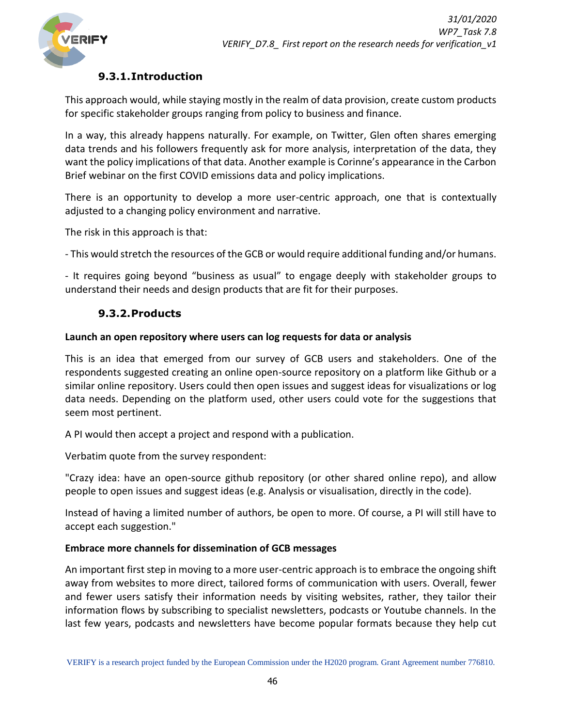

### **9.3.1.Introduction**

<span id="page-45-0"></span>This approach would, while staying mostly in the realm of data provision, create custom products for specific stakeholder groups ranging from policy to business and finance.

In a way, this already happens naturally. For example, on Twitter, Glen often shares emerging data trends and his followers frequently ask for more analysis, interpretation of the data, they want the policy implications of that data. Another example is Corinne's appearance in the Carbon Brief webinar on the first COVID emissions data and policy implications.

There is an opportunity to develop a more user-centric approach, one that is contextually adjusted to a changing policy environment and narrative.

The risk in this approach is that:

- This would stretch the resources of the GCB or would require additional funding and/or humans.

- It requires going beyond "business as usual" to engage deeply with stakeholder groups to understand their needs and design products that are fit for their purposes.

### **9.3.2.Products**

#### <span id="page-45-1"></span>**Launch an open repository where users can log requests for data or analysis**

This is an idea that emerged from our survey of GCB users and stakeholders. One of the respondents suggested creating an online open-source repository on a platform like Github or a similar online repository. Users could then open issues and suggest ideas for visualizations or log data needs. Depending on the platform used, other users could vote for the suggestions that seem most pertinent.

A PI would then accept a project and respond with a publication.

Verbatim quote from the survey respondent:

"Crazy idea: have an open-source github repository (or other shared online repo), and allow people to open issues and suggest ideas (e.g. Analysis or visualisation, directly in the code).

Instead of having a limited number of authors, be open to more. Of course, a PI will still have to accept each suggestion."

#### **Embrace more channels for dissemination of GCB messages**

An important first step in moving to a more user-centric approach is to embrace the ongoing shift away from websites to more direct, tailored forms of communication with users. Overall, fewer and fewer users satisfy their information needs by visiting websites, rather, they tailor their information flows by subscribing to specialist newsletters, podcasts or Youtube channels. In the last few years, podcasts and newsletters have become popular formats because they help cut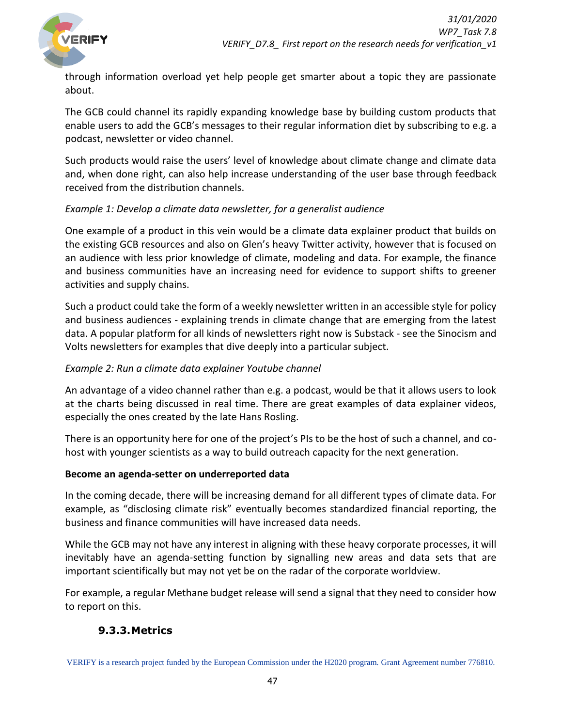

through information overload yet help people get smarter about a topic they are passionate about.

The GCB could channel its rapidly expanding knowledge base by building custom products that enable users to add the GCB's messages to their regular information diet by subscribing to e.g. a podcast, newsletter or video channel.

Such products would raise the users' level of knowledge about climate change and climate data and, when done right, can also help increase understanding of the user base through feedback received from the distribution channels.

#### *Example 1: Develop a climate data newsletter, for a generalist audience*

One example of a product in this vein would be a climate data explainer product that builds on the existing GCB resources and also on Glen's heavy Twitter activity, however that is focused on an audience with less prior knowledge of climate, modeling and data. For example, the finance and business communities have an increasing need for evidence to support shifts to greener activities and supply chains.

Such a product could take the form of a weekly newsletter written in an accessible style for policy and business audiences - explaining trends in climate change that are emerging from the latest data. A popular platform for all kinds of newsletters right now is Substack - see the Sinocism and Volts newsletters for examples that dive deeply into a particular subject.

#### *Example 2: Run a climate data explainer Youtube channel*

An advantage of a video channel rather than e.g. a podcast, would be that it allows users to look at the charts being discussed in real time. There are great examples of data explainer videos, especially the ones created by the late Hans Rosling.

There is an opportunity here for one of the project's PIs to be the host of such a channel, and cohost with younger scientists as a way to build outreach capacity for the next generation.

#### **Become an agenda-setter on underreported data**

In the coming decade, there will be increasing demand for all different types of climate data. For example, as "disclosing climate risk" eventually becomes standardized financial reporting, the business and finance communities will have increased data needs.

While the GCB may not have any interest in aligning with these heavy corporate processes, it will inevitably have an agenda-setting function by signalling new areas and data sets that are important scientifically but may not yet be on the radar of the corporate worldview.

<span id="page-46-0"></span>For example, a regular Methane budget release will send a signal that they need to consider how to report on this.

#### **9.3.3.Metrics**

VERIFY is a research project funded by the European Commission under the H2020 program. Grant Agreement number 776810.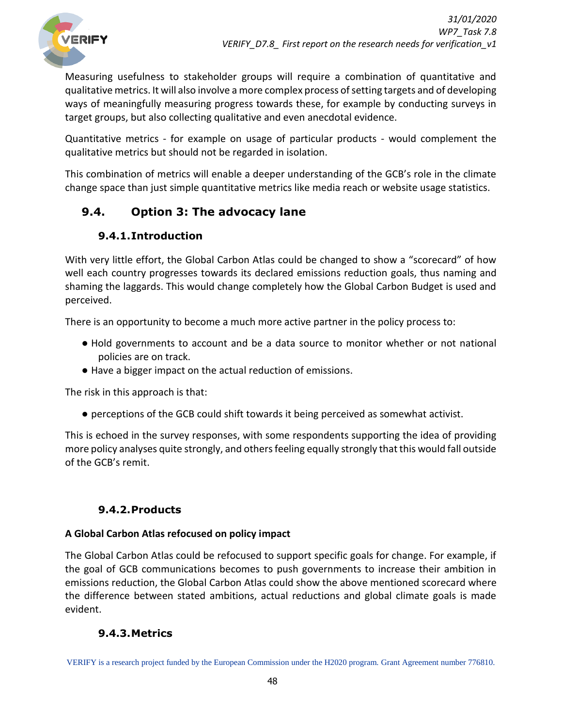

Measuring usefulness to stakeholder groups will require a combination of quantitative and qualitative metrics. It will also involve a more complex process of setting targets and of developing ways of meaningfully measuring progress towards these, for example by conducting surveys in target groups, but also collecting qualitative and even anecdotal evidence.

Quantitative metrics - for example on usage of particular products - would complement the qualitative metrics but should not be regarded in isolation.

This combination of metrics will enable a deeper understanding of the GCB's role in the climate change space than just simple quantitative metrics like media reach or website usage statistics.

# <span id="page-47-0"></span>**9.4. Option 3: The advocacy lane**

# **9.4.1.Introduction**

<span id="page-47-1"></span>With very little effort, the Global Carbon Atlas could be changed to show a "scorecard" of how well each country progresses towards its declared emissions reduction goals, thus naming and shaming the laggards. This would change completely how the Global Carbon Budget is used and perceived.

There is an opportunity to become a much more active partner in the policy process to:

- Hold governments to account and be a data source to monitor whether or not national policies are on track.
- Have a bigger impact on the actual reduction of emissions.

The risk in this approach is that:

● perceptions of the GCB could shift towards it being perceived as somewhat activist.

This is echoed in the survey responses, with some respondents supporting the idea of providing more policy analyses quite strongly, and others feeling equally strongly that this would fall outside of the GCB's remit.

# **9.4.2.Products**

#### <span id="page-47-2"></span>**A Global Carbon Atlas refocused on policy impact**

The Global Carbon Atlas could be refocused to support specific goals for change. For example, if the goal of GCB communications becomes to push governments to increase their ambition in emissions reduction, the Global Carbon Atlas could show the above mentioned scorecard where the difference between stated ambitions, actual reductions and global climate goals is made evident.

# **9.4.3.Metrics**

<span id="page-47-3"></span>VERIFY is a research project funded by the European Commission under the H2020 program. Grant Agreement number 776810.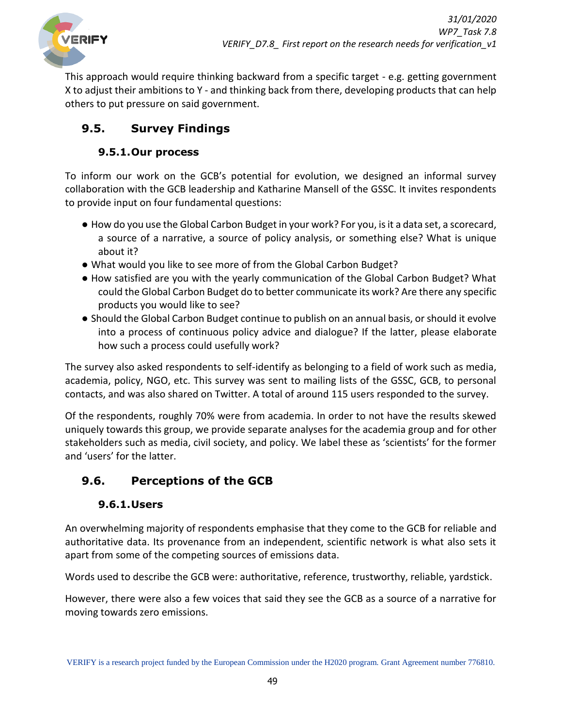

This approach would require thinking backward from a specific target - e.g. getting government X to adjust their ambitions to Y - and thinking back from there, developing products that can help others to put pressure on said government.

# <span id="page-48-0"></span>**9.5. Survey Findings**

### **9.5.1.Our process**

<span id="page-48-1"></span>To inform our work on the GCB's potential for evolution, we designed an informal survey collaboration with the GCB leadership and Katharine Mansell of the GSSC. It invites respondents to provide input on four fundamental questions:

- How do you use the Global Carbon Budget in your work? For you, is it a data set, a scorecard, a source of a narrative, a source of policy analysis, or something else? What is unique about it?
- What would you like to see more of from the Global Carbon Budget?
- How satisfied are you with the yearly communication of the Global Carbon Budget? What could the Global Carbon Budget do to better communicate its work? Are there any specific products you would like to see?
- Should the Global Carbon Budget continue to publish on an annual basis, or should it evolve into a process of continuous policy advice and dialogue? If the latter, please elaborate how such a process could usefully work?

The survey also asked respondents to self-identify as belonging to a field of work such as media, academia, policy, NGO, etc. This survey was sent to mailing lists of the GSSC, GCB, to personal contacts, and was also shared on Twitter. A total of around 115 users responded to the survey.

Of the respondents, roughly 70% were from academia. In order to not have the results skewed uniquely towards this group, we provide separate analyses for the academia group and for other stakeholders such as media, civil society, and policy. We label these as 'scientists' for the former and 'users' for the latter.

# <span id="page-48-2"></span>**9.6. Perceptions of the GCB**

# **9.6.1.Users**

<span id="page-48-3"></span>An overwhelming majority of respondents emphasise that they come to the GCB for reliable and authoritative data. Its provenance from an independent, scientific network is what also sets it apart from some of the competing sources of emissions data.

Words used to describe the GCB were: authoritative, reference, trustworthy, reliable, yardstick.

However, there were also a few voices that said they see the GCB as a source of a narrative for moving towards zero emissions.

VERIFY is a research project funded by the European Commission under the H2020 program. Grant Agreement number 776810.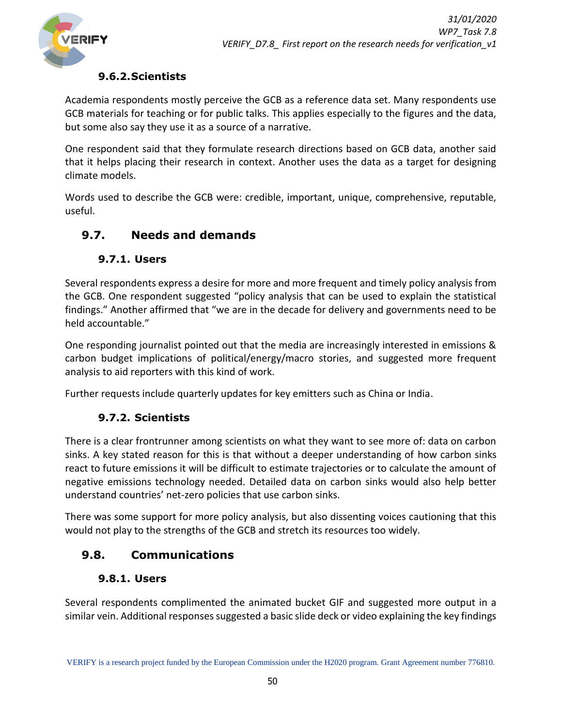

### **9.6.2.Scientists**

<span id="page-49-0"></span>Academia respondents mostly perceive the GCB as a reference data set. Many respondents use GCB materials for teaching or for public talks. This applies especially to the figures and the data, but some also say they use it as a source of a narrative.

One respondent said that they formulate research directions based on GCB data, another said that it helps placing their research in context. Another uses the data as a target for designing climate models.

Words used to describe the GCB were: credible, important, unique, comprehensive, reputable, useful.

# <span id="page-49-1"></span>**9.7. Needs and demands**

### <span id="page-49-2"></span>**9.7.1. Users**

Several respondents express a desire for more and more frequent and timely policy analysis from the GCB. One respondent suggested "policy analysis that can be used to explain the statistical findings." Another affirmed that "we are in the decade for delivery and governments need to be held accountable."

One responding journalist pointed out that the media are increasingly interested in emissions & carbon budget implications of political/energy/macro stories, and suggested more frequent analysis to aid reporters with this kind of work.

Further requests include quarterly updates for key emitters such as China or India.

### <span id="page-49-3"></span>**9.7.2. Scientists**

There is a clear frontrunner among scientists on what they want to see more of: data on carbon sinks. A key stated reason for this is that without a deeper understanding of how carbon sinks react to future emissions it will be difficult to estimate trajectories or to calculate the amount of negative emissions technology needed. Detailed data on carbon sinks would also help better understand countries' net-zero policies that use carbon sinks.

There was some support for more policy analysis, but also dissenting voices cautioning that this would not play to the strengths of the GCB and stretch its resources too widely.

# <span id="page-49-4"></span>**9.8. Communications**

#### <span id="page-49-5"></span>**9.8.1. Users**

Several respondents complimented the animated bucket GIF and suggested more output in a similar vein. Additional responses suggested a basic slide deck or video explaining the key findings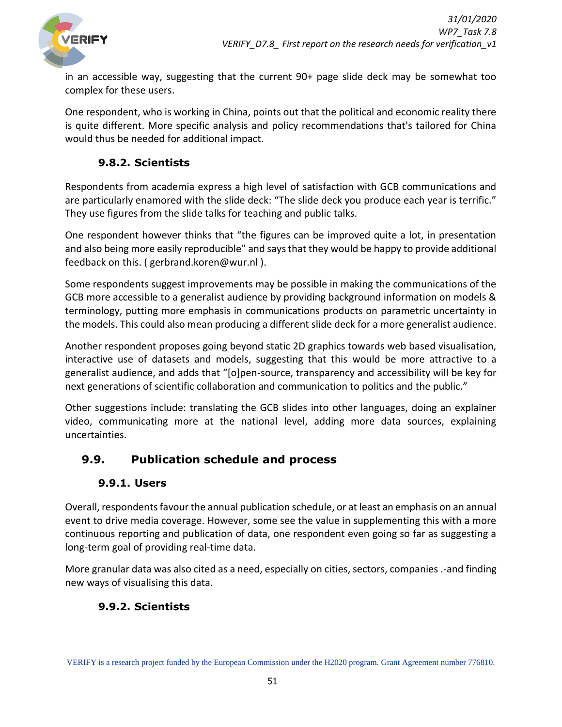

in an accessible way, suggesting that the current 90+ page slide deck may be somewhat too complex for these users.

One respondent, who is working in China, points out that the political and economic reality there is quite different. More specific analysis and policy recommendations that's tailored for China would thus be needed for additional impact.

### <span id="page-50-0"></span>**9.8.2. Scientists**

Respondents from academia express a high level of satisfaction with GCB communications and are particularly enamored with the slide deck: "The slide deck you produce each year is terrific." They use figures from the slide talks for teaching and public talks.

One respondent however thinks that "the figures can be improved quite a lot, in presentation and also being more easily reproducible" and says that they would be happy to provide additional feedback on this. ( gerbrand.koren@wur.nl ).

Some respondents suggest improvements may be possible in making the communications of the GCB more accessible to a generalist audience by providing background information on models & terminology, putting more emphasis in communications products on parametric uncertainty in the models. This could also mean producing a different slide deck for a more generalist audience.

Another respondent proposes going beyond static 2D graphics towards web based visualisation, interactive use of datasets and models, suggesting that this would be more attractive to a generalist audience, and adds that "[o]pen-source, transparency and accessibility will be key for next generations of scientific collaboration and communication to politics and the public."

Other suggestions include: translating the GCB slides into other languages, doing an explainer video, communicating more at the national level, adding more data sources, explaining uncertainties.

# <span id="page-50-1"></span>**9.9. Publication schedule and process**

### <span id="page-50-2"></span>**9.9.1. Users**

Overall, respondents favour the annual publication schedule, or at least an emphasis on an annual event to drive media coverage. However, some see the value in supplementing this with a more continuous reporting and publication of data, one respondent even going so far as suggesting a long-term goal of providing real-time data.

More granular data was also cited as a need, especially on cities, sectors, companies .-and finding new ways of visualising this data.

# <span id="page-50-3"></span>**9.9.2. Scientists**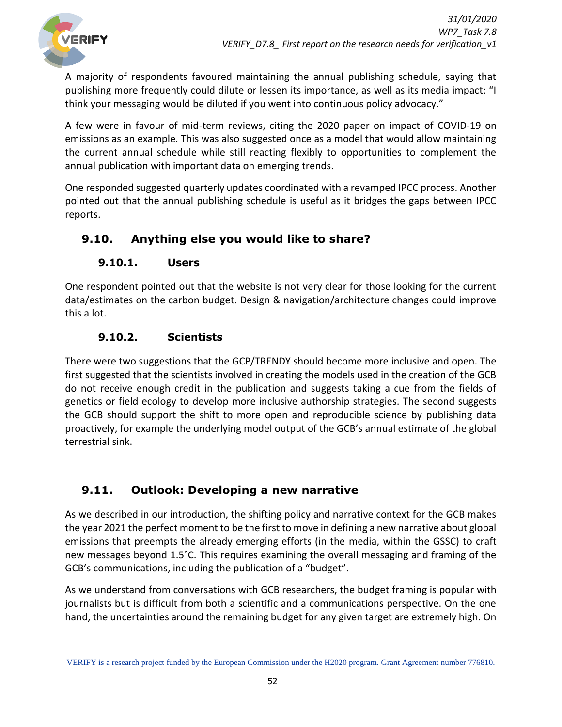

A majority of respondents favoured maintaining the annual publishing schedule, saying that publishing more frequently could dilute or lessen its importance, as well as its media impact: "I think your messaging would be diluted if you went into continuous policy advocacy."

A few were in favour of mid-term reviews, citing the 2020 paper on impact of COVID-19 on emissions as an example. This was also suggested once as a model that would allow maintaining the current annual schedule while still reacting flexibly to opportunities to complement the annual publication with important data on emerging trends.

One responded suggested quarterly updates coordinated with a revamped IPCC process. Another pointed out that the annual publishing schedule is useful as it bridges the gaps between IPCC reports.

# <span id="page-51-0"></span>**9.10. Anything else you would like to share?**

# <span id="page-51-1"></span>**9.10.1. Users**

One respondent pointed out that the website is not very clear for those looking for the current data/estimates on the carbon budget. Design & navigation/architecture changes could improve this a lot.

### <span id="page-51-2"></span>**9.10.2. Scientists**

There were two suggestions that the GCP/TRENDY should become more inclusive and open. The first suggested that the scientists involved in creating the models used in the creation of the GCB do not receive enough credit in the publication and suggests taking a cue from the fields of genetics or field ecology to develop more inclusive authorship strategies. The second suggests the GCB should support the shift to more open and reproducible science by publishing data proactively, for example the underlying model output of the GCB's annual estimate of the global terrestrial sink.

# <span id="page-51-3"></span>**9.11. Outlook: Developing a new narrative**

As we described in our introduction, the shifting policy and narrative context for the GCB makes the year 2021 the perfect moment to be the first to move in defining a new narrative about global emissions that preempts the already emerging efforts (in the media, within the GSSC) to craft new messages beyond 1.5°C. This requires examining the overall messaging and framing of the GCB's communications, including the publication of a "budget".

As we understand from conversations with GCB researchers, the budget framing is popular with journalists but is difficult from both a scientific and a communications perspective. On the one hand, the uncertainties around the remaining budget for any given target are extremely high. On